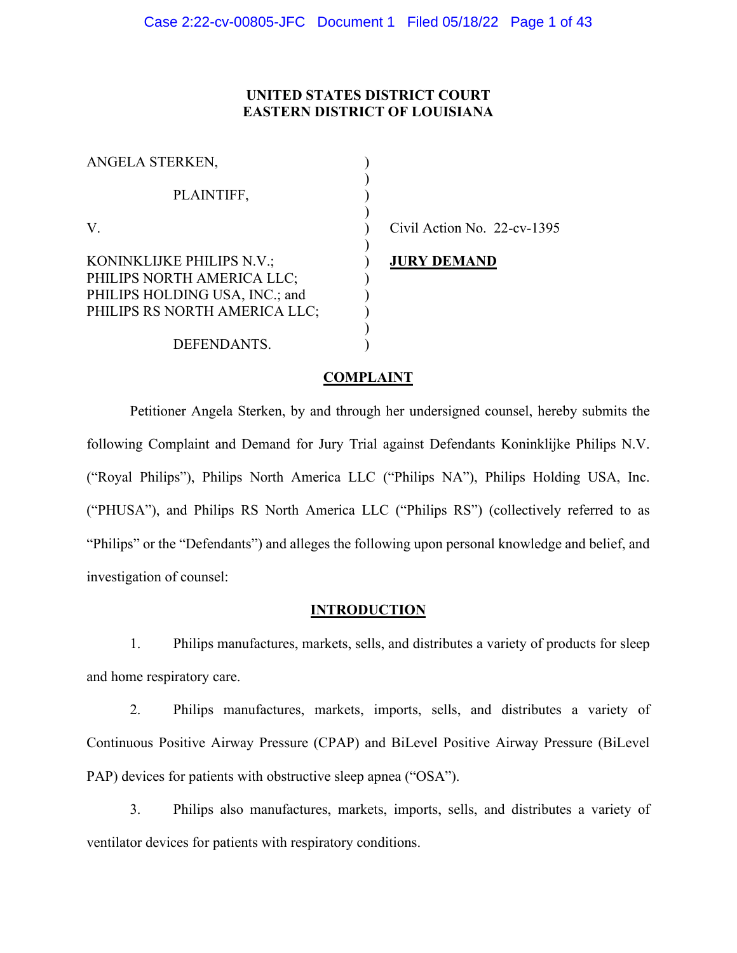# **UNITED STATES DISTRICT COURT EASTERN DISTRICT OF LOUISIANA**

| ANGELA STERKEN,                                                                                                            |  |
|----------------------------------------------------------------------------------------------------------------------------|--|
| PLAINTIFF,                                                                                                                 |  |
|                                                                                                                            |  |
| KONINKLIJKE PHILIPS N.V.;<br>PHILIPS NORTH AMERICA LLC;<br>PHILIPS HOLDING USA, INC.; and<br>PHILIPS RS NORTH AMERICA LLC; |  |
| DEFENDANTS.                                                                                                                |  |

vil Action No.  $22$ -cv-1395

## **IRY DEMAND**

## **COMPLAINT**

Petitioner Angela Sterken, by and through her undersigned counsel, hereby submits the following Complaint and Demand for Jury Trial against Defendants Koninklijke Philips N.V. ("Royal Philips"), Philips North America LLC ("Philips NA"), Philips Holding USA, Inc. ("PHUSA"), and Philips RS North America LLC ("Philips RS") (collectively referred to as "Philips" or the "Defendants") and alleges the following upon personal knowledge and belief, and investigation of counsel:

#### **INTRODUCTION**

1. Philips manufactures, markets, sells, and distributes a variety of products for sleep and home respiratory care.

2. Philips manufactures, markets, imports, sells, and distributes a variety of Continuous Positive Airway Pressure (CPAP) and BiLevel Positive Airway Pressure (BiLevel PAP) devices for patients with obstructive sleep apnea ("OSA").

3. Philips also manufactures, markets, imports, sells, and distributes a variety of ventilator devices for patients with respiratory conditions.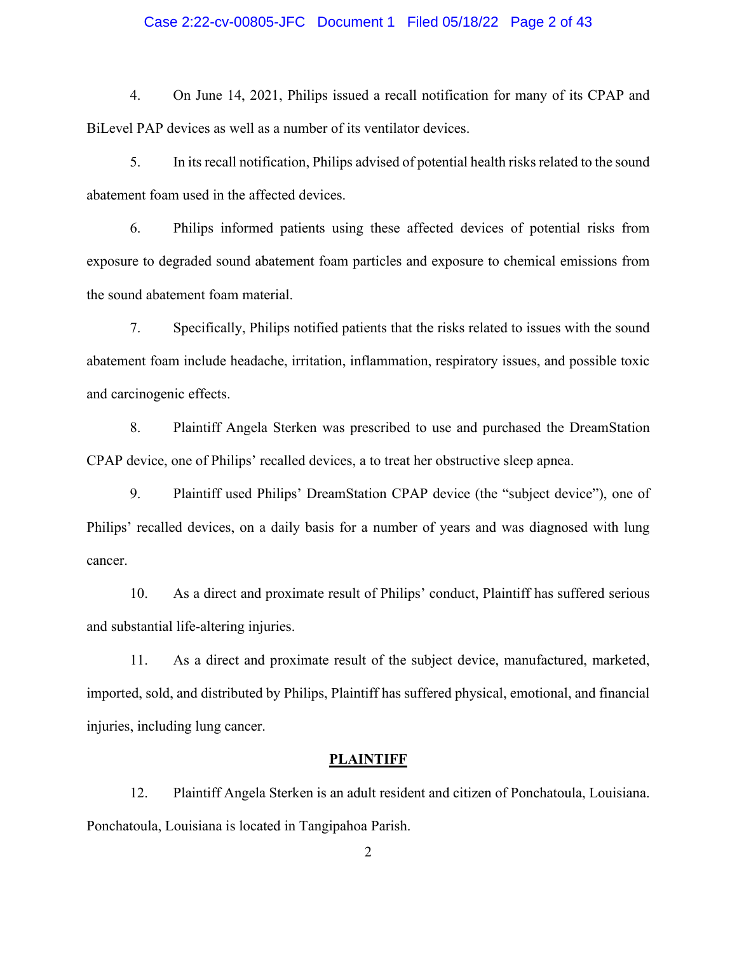#### Case 2:22-cv-00805-JFC Document 1 Filed 05/18/22 Page 2 of 43

4. On June 14, 2021, Philips issued a recall notification for many of its CPAP and BiLevel PAP devices as well as a number of its ventilator devices.

5. In its recall notification, Philips advised of potential health risks related to the sound abatement foam used in the affected devices.

6. Philips informed patients using these affected devices of potential risks from exposure to degraded sound abatement foam particles and exposure to chemical emissions from the sound abatement foam material.

7. Specifically, Philips notified patients that the risks related to issues with the sound abatement foam include headache, irritation, inflammation, respiratory issues, and possible toxic and carcinogenic effects.

8. Plaintiff Angela Sterken was prescribed to use and purchased the DreamStation CPAP device, one of Philips' recalled devices, a to treat her obstructive sleep apnea.

9. Plaintiff used Philips' DreamStation CPAP device (the "subject device"), one of Philips' recalled devices, on a daily basis for a number of years and was diagnosed with lung cancer.

10. As a direct and proximate result of Philips' conduct, Plaintiff has suffered serious and substantial life-altering injuries.

11. As a direct and proximate result of the subject device, manufactured, marketed, imported, sold, and distributed by Philips, Plaintiff has suffered physical, emotional, and financial injuries, including lung cancer.

#### **PLAINTIFF**

12. Plaintiff Angela Sterken is an adult resident and citizen of Ponchatoula, Louisiana. Ponchatoula, Louisiana is located in Tangipahoa Parish.

2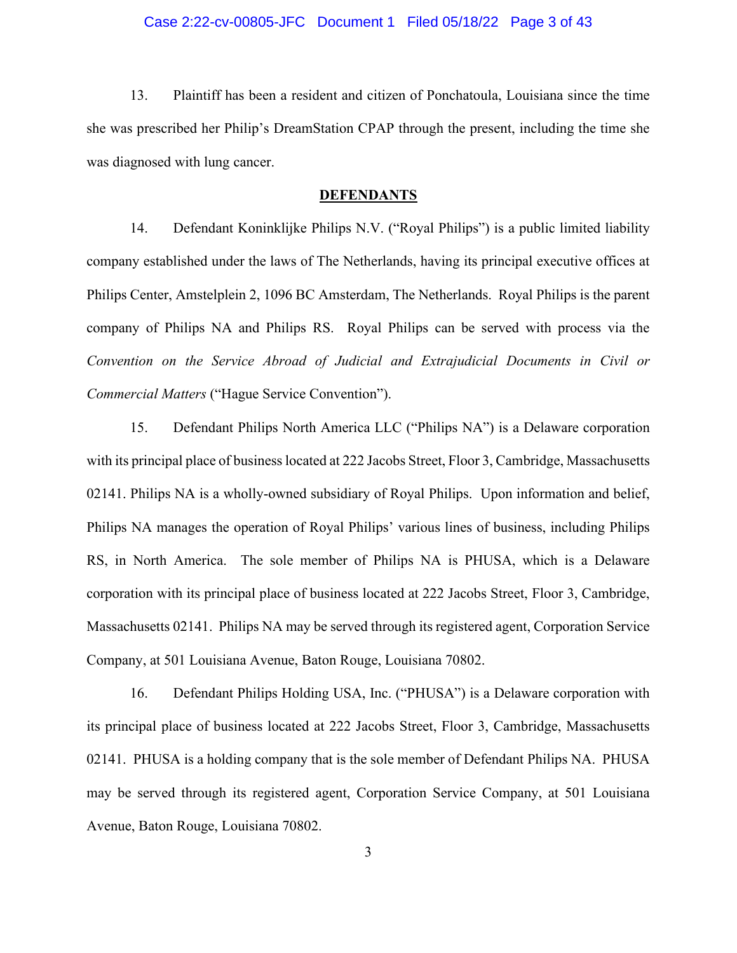#### Case 2:22-cv-00805-JFC Document 1 Filed 05/18/22 Page 3 of 43

13. Plaintiff has been a resident and citizen of Ponchatoula, Louisiana since the time she was prescribed her Philip's DreamStation CPAP through the present, including the time she was diagnosed with lung cancer.

#### **DEFENDANTS**

14. Defendant Koninklijke Philips N.V. ("Royal Philips") is a public limited liability company established under the laws of The Netherlands, having its principal executive offices at Philips Center, Amstelplein 2, 1096 BC Amsterdam, The Netherlands. Royal Philips is the parent company of Philips NA and Philips RS. Royal Philips can be served with process via the *Convention on the Service Abroad of Judicial and Extrajudicial Documents in Civil or Commercial Matters* ("Hague Service Convention").

15. Defendant Philips North America LLC ("Philips NA") is a Delaware corporation with its principal place of business located at 222 Jacobs Street, Floor 3, Cambridge, Massachusetts 02141. Philips NA is a wholly-owned subsidiary of Royal Philips. Upon information and belief, Philips NA manages the operation of Royal Philips' various lines of business, including Philips RS, in North America. The sole member of Philips NA is PHUSA, which is a Delaware corporation with its principal place of business located at 222 Jacobs Street, Floor 3, Cambridge, Massachusetts 02141. Philips NA may be served through its registered agent, Corporation Service Company, at 501 Louisiana Avenue, Baton Rouge, Louisiana 70802.

16. Defendant Philips Holding USA, Inc. ("PHUSA") is a Delaware corporation with its principal place of business located at 222 Jacobs Street, Floor 3, Cambridge, Massachusetts 02141. PHUSA is a holding company that is the sole member of Defendant Philips NA. PHUSA may be served through its registered agent, Corporation Service Company, at 501 Louisiana Avenue, Baton Rouge, Louisiana 70802.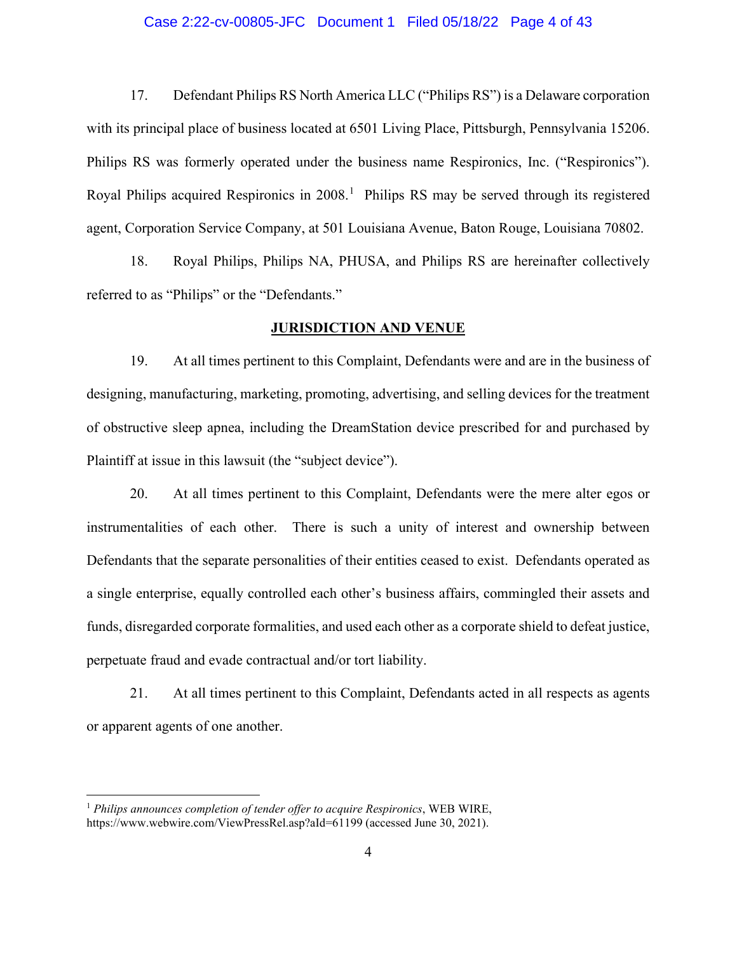#### Case 2:22-cv-00805-JFC Document 1 Filed 05/18/22 Page 4 of 43

17. Defendant Philips RS North America LLC ("Philips RS") is a Delaware corporation with its principal place of business located at 6501 Living Place, Pittsburgh, Pennsylvania 15206. Philips RS was formerly operated under the business name Respironics, Inc. ("Respironics"). Royal Philips acquired Respironics in 2008.<sup>[1](#page-3-0)</sup> Philips RS may be served through its registered agent, Corporation Service Company, at 501 Louisiana Avenue, Baton Rouge, Louisiana 70802.

18. Royal Philips, Philips NA, PHUSA, and Philips RS are hereinafter collectively referred to as "Philips" or the "Defendants."

## **JURISDICTION AND VENUE**

19. At all times pertinent to this Complaint, Defendants were and are in the business of designing, manufacturing, marketing, promoting, advertising, and selling devices for the treatment of obstructive sleep apnea, including the DreamStation device prescribed for and purchased by Plaintiff at issue in this lawsuit (the "subject device").

20. At all times pertinent to this Complaint, Defendants were the mere alter egos or instrumentalities of each other. There is such a unity of interest and ownership between Defendants that the separate personalities of their entities ceased to exist. Defendants operated as a single enterprise, equally controlled each other's business affairs, commingled their assets and funds, disregarded corporate formalities, and used each other as a corporate shield to defeat justice, perpetuate fraud and evade contractual and/or tort liability.

21. At all times pertinent to this Complaint, Defendants acted in all respects as agents or apparent agents of one another.

<span id="page-3-0"></span><sup>1</sup> *Philips announces completion of tender offer to acquire Respironics*, WEB WIRE, https:/[/www.webwire.com/ViewPressRel.asp?aId=61199 \(](http://www.webwire.com/ViewPressRel.asp?aId=61199)accessed June 30, 2021).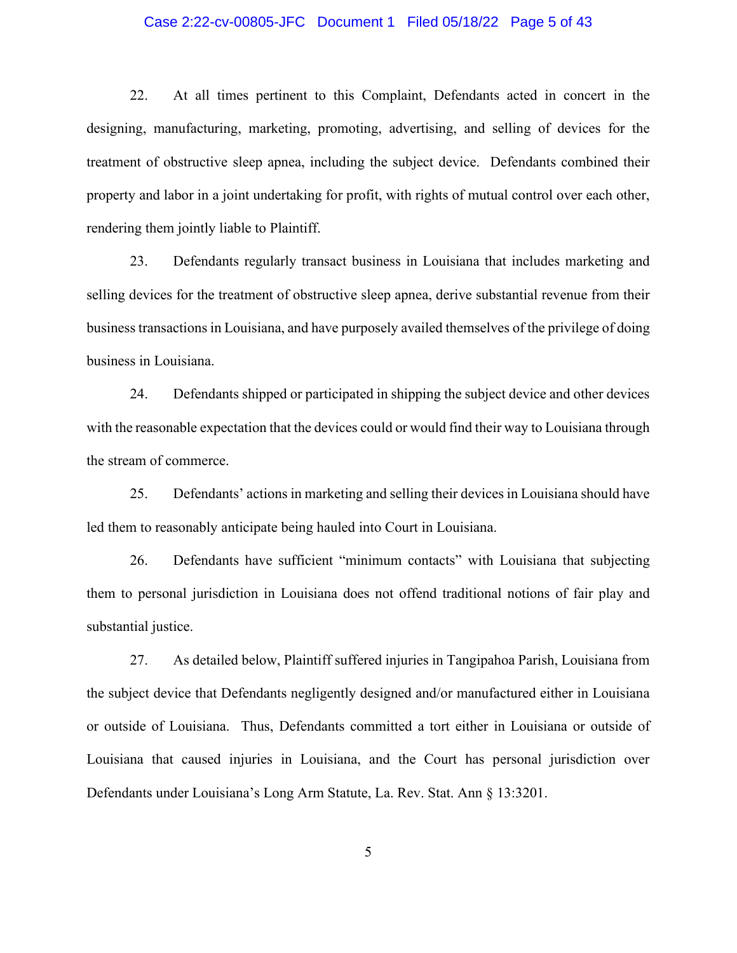### Case 2:22-cv-00805-JFC Document 1 Filed 05/18/22 Page 5 of 43

22. At all times pertinent to this Complaint, Defendants acted in concert in the designing, manufacturing, marketing, promoting, advertising, and selling of devices for the treatment of obstructive sleep apnea, including the subject device. Defendants combined their property and labor in a joint undertaking for profit, with rights of mutual control over each other, rendering them jointly liable to Plaintiff.

23. Defendants regularly transact business in Louisiana that includes marketing and selling devices for the treatment of obstructive sleep apnea, derive substantial revenue from their business transactions in Louisiana, and have purposely availed themselves of the privilege of doing business in Louisiana.

24. Defendants shipped or participated in shipping the subject device and other devices with the reasonable expectation that the devices could or would find their way to Louisiana through the stream of commerce.

25. Defendants' actions in marketing and selling their devices in Louisiana should have led them to reasonably anticipate being hauled into Court in Louisiana.

26. Defendants have sufficient "minimum contacts" with Louisiana that subjecting them to personal jurisdiction in Louisiana does not offend traditional notions of fair play and substantial justice.

27. As detailed below, Plaintiff suffered injuries in Tangipahoa Parish, Louisiana from the subject device that Defendants negligently designed and/or manufactured either in Louisiana or outside of Louisiana. Thus, Defendants committed a tort either in Louisiana or outside of Louisiana that caused injuries in Louisiana, and the Court has personal jurisdiction over Defendants under Louisiana's Long Arm Statute, La. Rev. Stat. Ann § 13:3201.

5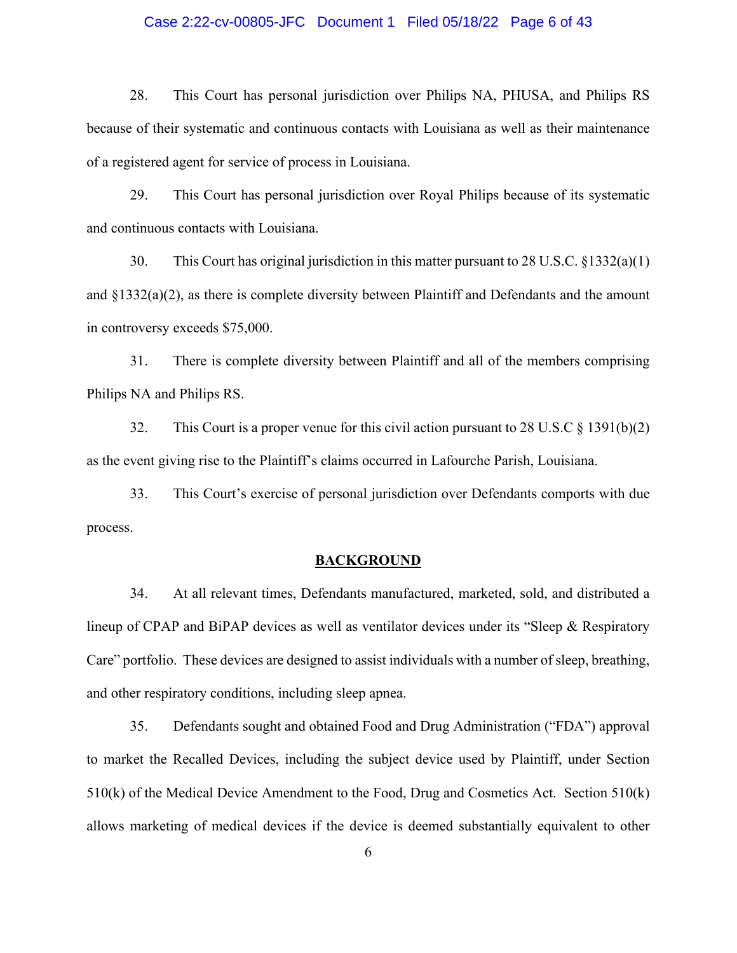## Case 2:22-cv-00805-JFC Document 1 Filed 05/18/22 Page 6 of 43

28. This Court has personal jurisdiction over Philips NA, PHUSA, and Philips RS because of their systematic and continuous contacts with Louisiana as well as their maintenance of a registered agent for service of process in Louisiana.

29. This Court has personal jurisdiction over Royal Philips because of its systematic and continuous contacts with Louisiana.

30. This Court has original jurisdiction in this matter pursuant to 28 U.S.C. §1332(a)(1) and  $\S 1332(a)(2)$ , as there is complete diversity between Plaintiff and Defendants and the amount in controversy exceeds \$75,000.

31. There is complete diversity between Plaintiff and all of the members comprising Philips NA and Philips RS.

32. This Court is a proper venue for this civil action pursuant to 28 U.S.C § 1391(b)(2) as the event giving rise to the Plaintiff's claims occurred in Lafourche Parish, Louisiana.

33. This Court's exercise of personal jurisdiction over Defendants comports with due process.

#### **BACKGROUND**

34. At all relevant times, Defendants manufactured, marketed, sold, and distributed a lineup of CPAP and BiPAP devices as well as ventilator devices under its "Sleep & Respiratory Care" portfolio. These devices are designed to assist individuals with a number of sleep, breathing, and other respiratory conditions, including sleep apnea.

35. Defendants sought and obtained Food and Drug Administration ("FDA") approval to market the Recalled Devices, including the subject device used by Plaintiff, under Section 510(k) of the Medical Device Amendment to the Food, Drug and Cosmetics Act. Section 510(k) allows marketing of medical devices if the device is deemed substantially equivalent to other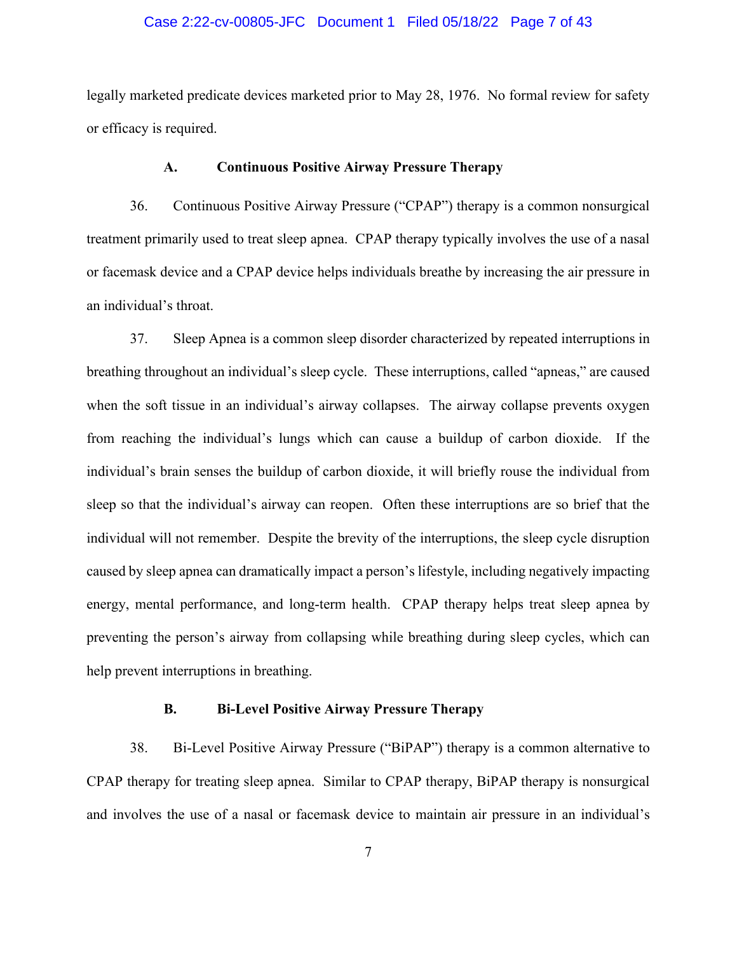#### Case 2:22-cv-00805-JFC Document 1 Filed 05/18/22 Page 7 of 43

legally marketed predicate devices marketed prior to May 28, 1976. No formal review for safety or efficacy is required.

## **A. Continuous Positive Airway Pressure Therapy**

36. Continuous Positive Airway Pressure ("CPAP") therapy is a common nonsurgical treatment primarily used to treat sleep apnea. CPAP therapy typically involves the use of a nasal or facemask device and a CPAP device helps individuals breathe by increasing the air pressure in an individual's throat.

37. Sleep Apnea is a common sleep disorder characterized by repeated interruptions in breathing throughout an individual's sleep cycle. These interruptions, called "apneas," are caused when the soft tissue in an individual's airway collapses. The airway collapse prevents oxygen from reaching the individual's lungs which can cause a buildup of carbon dioxide. If the individual's brain senses the buildup of carbon dioxide, it will briefly rouse the individual from sleep so that the individual's airway can reopen. Often these interruptions are so brief that the individual will not remember. Despite the brevity of the interruptions, the sleep cycle disruption caused by sleep apnea can dramatically impact a person's lifestyle, including negatively impacting energy, mental performance, and long-term health. CPAP therapy helps treat sleep apnea by preventing the person's airway from collapsing while breathing during sleep cycles, which can help prevent interruptions in breathing.

## **B. Bi-Level Positive Airway Pressure Therapy**

38. Bi-Level Positive Airway Pressure ("BiPAP") therapy is a common alternative to CPAP therapy for treating sleep apnea. Similar to CPAP therapy, BiPAP therapy is nonsurgical and involves the use of a nasal or facemask device to maintain air pressure in an individual's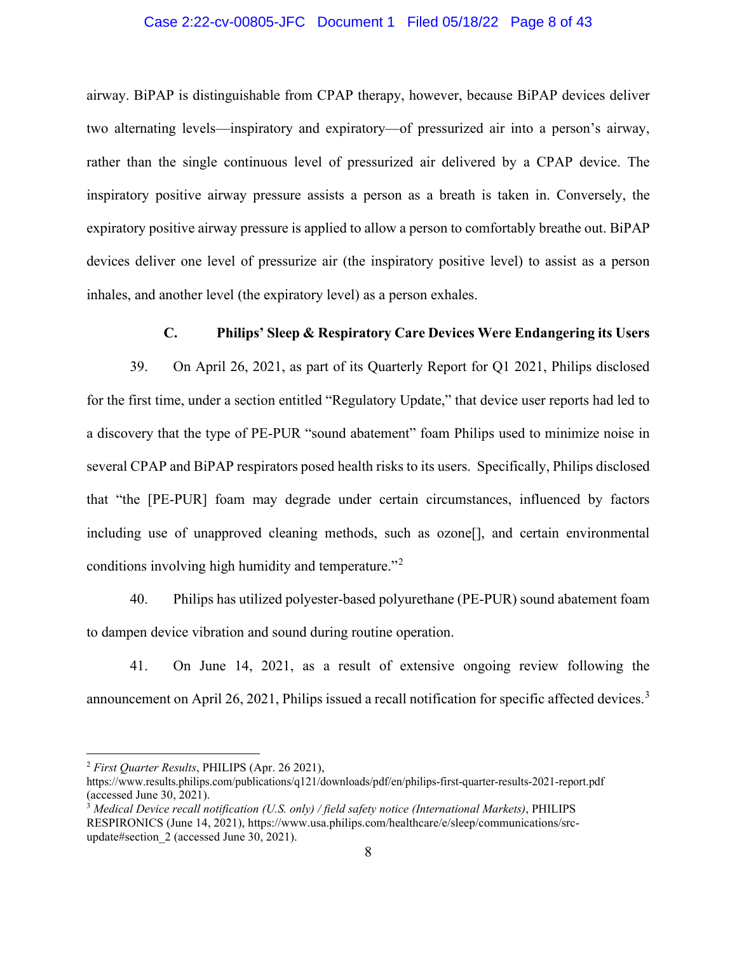#### Case 2:22-cv-00805-JFC Document 1 Filed 05/18/22 Page 8 of 43

airway. BiPAP is distinguishable from CPAP therapy, however, because BiPAP devices deliver two alternating levels—inspiratory and expiratory—of pressurized air into a person's airway, rather than the single continuous level of pressurized air delivered by a CPAP device. The inspiratory positive airway pressure assists a person as a breath is taken in. Conversely, the expiratory positive airway pressure is applied to allow a person to comfortably breathe out. BiPAP devices deliver one level of pressurize air (the inspiratory positive level) to assist as a person inhales, and another level (the expiratory level) as a person exhales.

# **C. Philips' Sleep & Respiratory Care Devices Were Endangering its Users**

39. On April 26, 2021, as part of its Quarterly Report for Q1 2021, Philips disclosed for the first time, under a section entitled "Regulatory Update," that device user reports had led to a discovery that the type of PE-PUR "sound abatement" foam Philips used to minimize noise in several CPAP and BiPAP respirators posed health risks to its users. Specifically, Philips disclosed that "the [PE-PUR] foam may degrade under certain circumstances, influenced by factors including use of unapproved cleaning methods, such as ozone[], and certain environmental conditions involving high humidity and temperature."[2](#page-7-0)

40. Philips has utilized polyester-based polyurethane (PE-PUR) sound abatement foam to dampen device vibration and sound during routine operation.

41. On June 14, 2021, as a result of extensive ongoing review following the announcement on April 26, 2021, Philips issued a recall notification for specific affected devices.<sup>[3](#page-7-1)</sup>

<span id="page-7-0"></span><sup>2</sup> *First Quarter Results*, PHILIPS (Apr. 26 2021),

https:/[/www.results.philips.com/publications/q121/downloads/pdf/en/philips-first-quarter-results-2021-report.pdf](http://www.results.philips.com/publications/q121/downloads/pdf/en/philips-first-quarter-results-2021-report.pdf) (accessed June 30, 2021).

<span id="page-7-1"></span><sup>3</sup> *Medical Device recall notification (U.S. only) / field safety notice (International Markets)*, PHILIPS RESPIRONICS (June 14, 2021), https:/[/www.usa.philips.com/healthcare/e/sleep/communications/src](http://www.usa.philips.com/healthcare/e/sleep/communications/src-update#section_2)[update#section\\_2 \(](http://www.usa.philips.com/healthcare/e/sleep/communications/src-update#section_2)accessed June 30, 2021).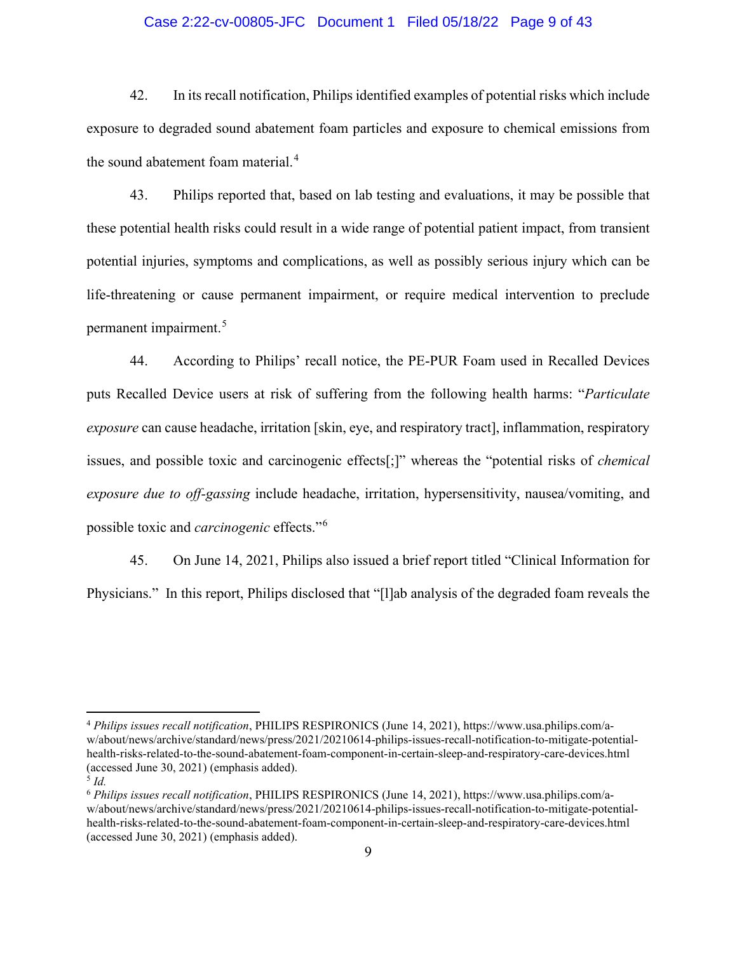## Case 2:22-cv-00805-JFC Document 1 Filed 05/18/22 Page 9 of 43

42. In its recall notification, Philips identified examples of potential risks which include exposure to degraded sound abatement foam particles and exposure to chemical emissions from the sound abatement foam material.<sup>[4](#page-8-0)</sup>

43. Philips reported that, based on lab testing and evaluations, it may be possible that these potential health risks could result in a wide range of potential patient impact, from transient potential injuries, symptoms and complications, as well as possibly serious injury which can be life-threatening or cause permanent impairment, or require medical intervention to preclude permanent impairment.[5](#page-8-1)

44. According to Philips' recall notice, the PE-PUR Foam used in Recalled Devices puts Recalled Device users at risk of suffering from the following health harms: "*Particulate exposure* can cause headache, irritation [skin, eye, and respiratory tract], inflammation, respiratory issues, and possible toxic and carcinogenic effects[;]" whereas the "potential risks of *chemical exposure due to off-gassing* include headache, irritation, hypersensitivity, nausea/vomiting, and possible toxic and *carcinogenic* effects."[6](#page-8-2)

45. On June 14, 2021, Philips also issued a brief report titled "Clinical Information for Physicians." In this report, Philips disclosed that "[l]ab analysis of the degraded foam reveals the

<span id="page-8-0"></span><sup>4</sup> *Philips issues recall notification*, PHILIPS RESPIRONICS (June 14, 2021), https://www.usa.philips.com/aw/about/news/archive/standard/news/press/2021/20210614-philips-issues-recall-notification-to-mitigate-potentialhealth-risks-related-to-the-sound-abatement-foam-component-in-certain-sleep-and-respiratory-care-devices.html (accessed June 30, 2021) (emphasis added).

<span id="page-8-1"></span><sup>5</sup> *Id.*

<span id="page-8-2"></span><sup>6</sup> *Philips issues recall notification*, PHILIPS RESPIRONICS (June 14, 2021), https://www.usa.philips.com/aw/about/news/archive/standard/news/press/2021/20210614-philips-issues-recall-notification-to-mitigate-potentialhealth-risks-related-to-the-sound-abatement-foam-component-in-certain-sleep-and-respiratory-care-devices.html (accessed June 30, 2021) (emphasis added).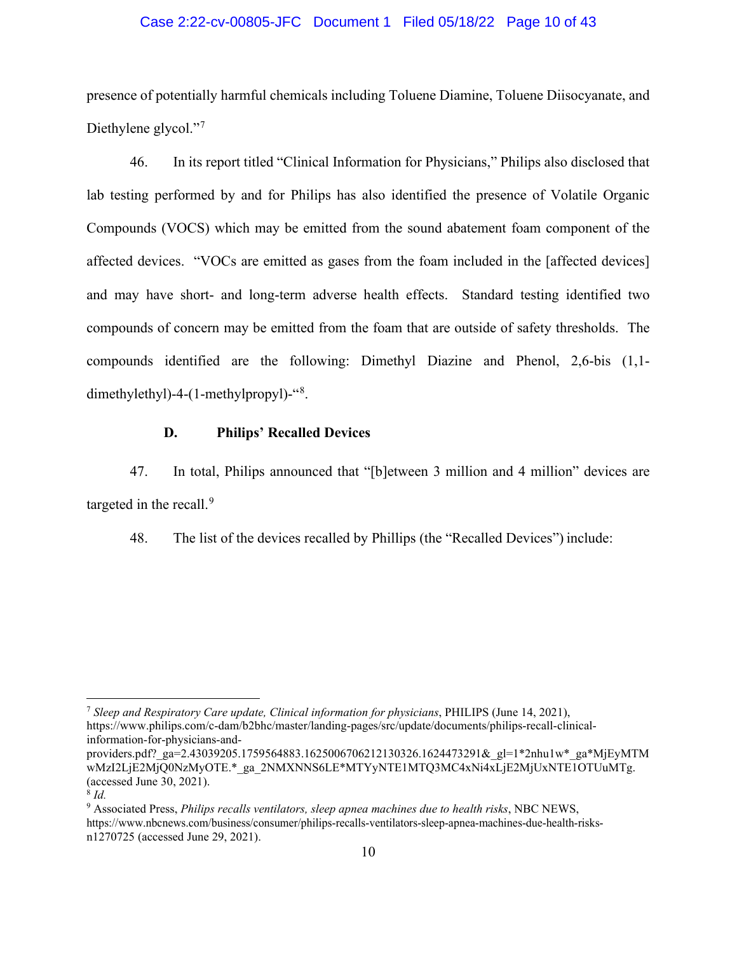## Case 2:22-cv-00805-JFC Document 1 Filed 05/18/22 Page 10 of 43

presence of potentially harmful chemicals including Toluene Diamine, Toluene Diisocyanate, and Diethylene glycol."<sup>[7](#page-9-0)</sup>

46. In its report titled "Clinical Information for Physicians," Philips also disclosed that lab testing performed by and for Philips has also identified the presence of Volatile Organic Compounds (VOCS) which may be emitted from the sound abatement foam component of the affected devices. "VOCs are emitted as gases from the foam included in the [affected devices] and may have short- and long-term adverse health effects. Standard testing identified two compounds of concern may be emitted from the foam that are outside of safety thresholds. The compounds identified are the following: Dimethyl Diazine and Phenol, 2,6-bis (1,1- dimethylethyl)-4-(1-methylpropyl)-"<sup>[8](#page-9-1)</sup>.

## **D. Philips' Recalled Devices**

47. In total, Philips announced that "[b]etween 3 million and 4 million" devices are targeted in the recall.<sup>[9](#page-9-2)</sup>

48. The list of the devices recalled by Phillips (the "Recalled Devices") include:

<span id="page-9-0"></span><sup>7</sup> *Sleep and Respiratory Care update, Clinical information for physicians*, PHILIPS (June 14, 2021), [https://www.philips.com/c-dam/b2bhc/master/landing-pages/src/update/documents/philips-recall-clinical](https://www.philips.com/c-dam/b2bhc/master/landing-pages/src/update/documents/philips-recall-clinical-information-for-physicians-and)[information-for-physicians-and-](https://www.philips.com/c-dam/b2bhc/master/landing-pages/src/update/documents/philips-recall-clinical-information-for-physicians-and)

providers.pdf?\_ga=2.43039205.1759564883.1625006706212130326.1624473291&\_gl=1\*2nhu1w\*\_ga\*MjEyMTM wMzI2LjE2MjQ0NzMyOTE.\*\_ga\_2NMXNNS6LE\*MTYyNTE1MTQ3MC4xNi4xLjE2MjUxNTE1OTUuMTg. (accessed June 30, 2021).

<span id="page-9-1"></span><sup>8</sup> *Id.*

<span id="page-9-2"></span><sup>9</sup> Associated Press, *Philips recalls ventilators, sleep apnea machines due to health risks*, NBC NEWS, https:/[/www.nbcnews.com/business/consumer/philips-recalls-ventilators-sleep-apnea-machines-due-health-risks](http://www.nbcnews.com/business/consumer/philips-recalls-ventilators-sleep-apnea-machines-due-health-risks-)n1270725 (accessed June 29, 2021).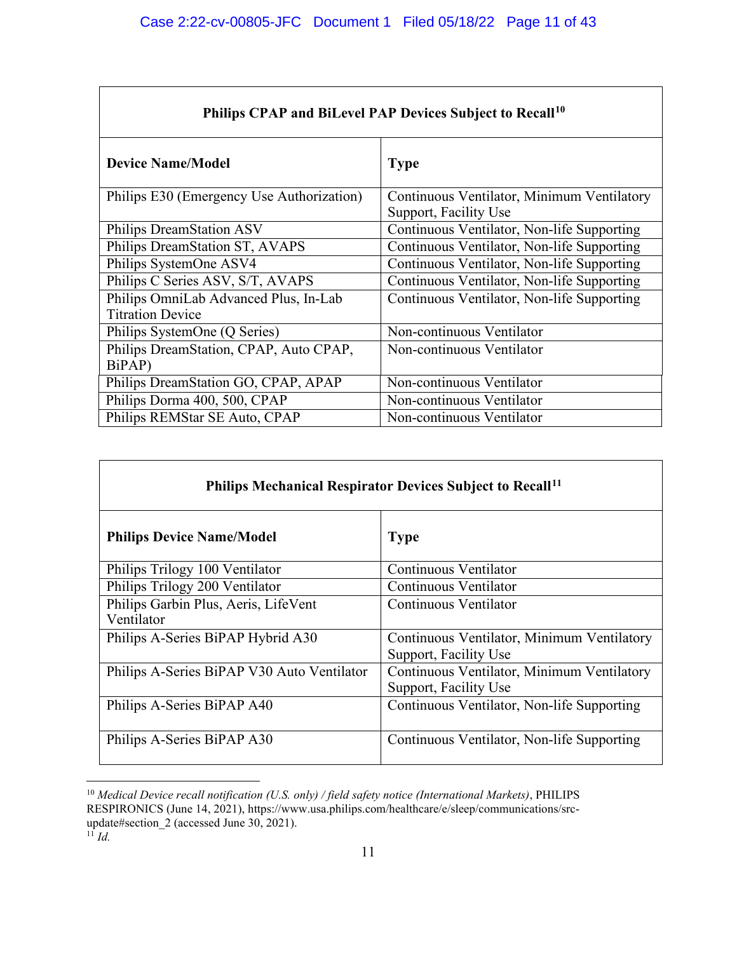| Philips CPAP and BiLevel PAP Devices Subject to Recall <sup>10</sup> |                                                                     |  |  |
|----------------------------------------------------------------------|---------------------------------------------------------------------|--|--|
| <b>Device Name/Model</b>                                             | <b>Type</b>                                                         |  |  |
| Philips E30 (Emergency Use Authorization)                            | Continuous Ventilator, Minimum Ventilatory<br>Support, Facility Use |  |  |
| Philips DreamStation ASV                                             | Continuous Ventilator, Non-life Supporting                          |  |  |
| Philips DreamStation ST, AVAPS                                       | Continuous Ventilator, Non-life Supporting                          |  |  |
| Philips SystemOne ASV4                                               | Continuous Ventilator, Non-life Supporting                          |  |  |
| Philips C Series ASV, S/T, AVAPS                                     | Continuous Ventilator, Non-life Supporting                          |  |  |
| Philips OmniLab Advanced Plus, In-Lab<br><b>Titration Device</b>     | Continuous Ventilator, Non-life Supporting                          |  |  |
| Philips SystemOne (Q Series)                                         | Non-continuous Ventilator                                           |  |  |
| Philips DreamStation, CPAP, Auto CPAP,<br>BiPAP)                     | Non-continuous Ventilator                                           |  |  |
| Philips DreamStation GO, CPAP, APAP                                  | Non-continuous Ventilator                                           |  |  |
| Philips Dorma 400, 500, CPAP                                         | Non-continuous Ventilator                                           |  |  |
| Philips REMStar SE Auto, CPAP                                        | Non-continuous Ventilator                                           |  |  |

| Philips Mechanical Respirator Devices Subject to Recall <sup>11</sup> |                                                                     |  |
|-----------------------------------------------------------------------|---------------------------------------------------------------------|--|
| <b>Philips Device Name/Model</b>                                      | <b>Type</b>                                                         |  |
| Philips Trilogy 100 Ventilator                                        | Continuous Ventilator                                               |  |
| Philips Trilogy 200 Ventilator                                        | Continuous Ventilator                                               |  |
| Philips Garbin Plus, Aeris, LifeVent<br>Ventilator                    | Continuous Ventilator                                               |  |
| Philips A-Series BiPAP Hybrid A30                                     | Continuous Ventilator, Minimum Ventilatory<br>Support, Facility Use |  |
| Philips A-Series BiPAP V30 Auto Ventilator                            | Continuous Ventilator, Minimum Ventilatory<br>Support, Facility Use |  |
| Philips A-Series BiPAP A40                                            | Continuous Ventilator, Non-life Supporting                          |  |
| Philips A-Series BiPAP A30                                            | Continuous Ventilator, Non-life Supporting                          |  |

<span id="page-10-1"></span><span id="page-10-0"></span><sup>10</sup> *Medical Device recall notification (U.S. only) / field safety notice (International Markets)*, PHILIPS RESPIRONICS (June 14, 2021), https:[//www.usa.philips.com/healthcare/e/sleep/communications/src](http://www.usa.philips.com/healthcare/e/sleep/communications/src-update#section_2)[update#section\\_2 \(](http://www.usa.philips.com/healthcare/e/sleep/communications/src-update#section_2)accessed June 30, 2021).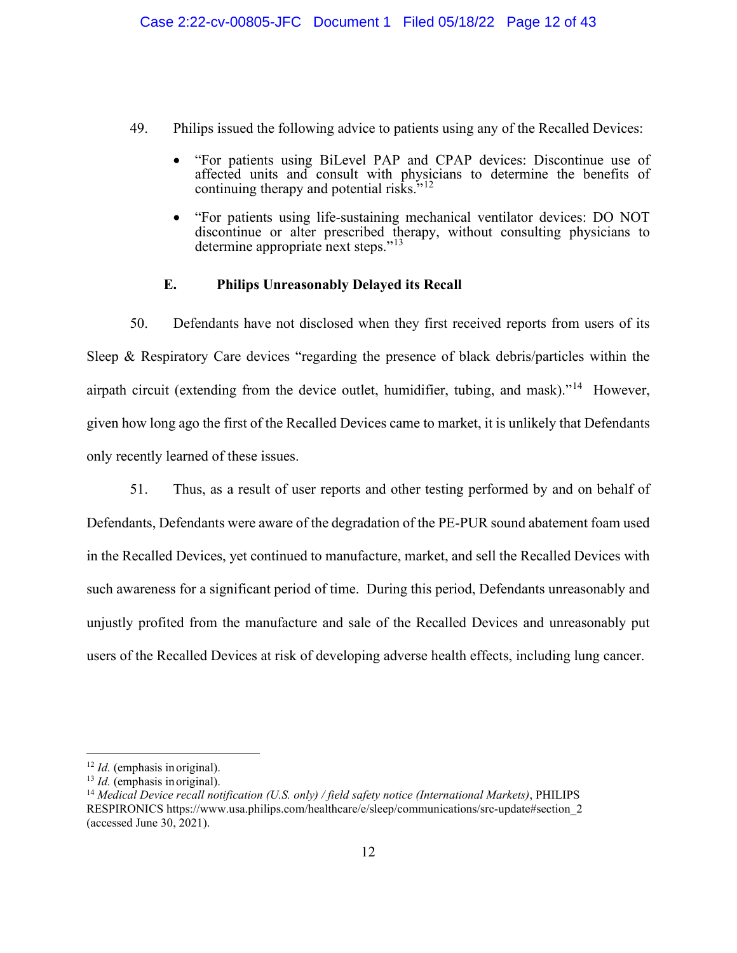- 49. Philips issued the following advice to patients using any of the Recalled Devices:
	- "For patients using BiLevel PAP and CPAP devices: Discontinue use of affected units and consult with physicians to determine the benefits of continuing therapy and potential risks."<sup>[12](#page-11-0)</sup>
	- "For patients using life-sustaining mechanical ventilator devices: DO NOT discontinue or alter prescribed therapy, without consulting physicians to determine appropriate next steps."<sup>[13](#page-11-1)</sup>

# **E. Philips Unreasonably Delayed its Recall**

50. Defendants have not disclosed when they first received reports from users of its Sleep & Respiratory Care devices "regarding the presence of black debris/particles within the airpath circuit (extending from the device outlet, humidifier, tubing, and mask)."<sup>14</sup> However, given how long ago the first of the Recalled Devices came to market, it is unlikely that Defendants only recently learned of these issues.

51. Thus, as a result of user reports and other testing performed by and on behalf of Defendants, Defendants were aware of the degradation of the PE-PUR sound abatement foam used in the Recalled Devices, yet continued to manufacture, market, and sell the Recalled Devices with such awareness for a significant period of time. During this period, Defendants unreasonably and unjustly profited from the manufacture and sale of the Recalled Devices and unreasonably put users of the Recalled Devices at risk of developing adverse health effects, including lung cancer.

<span id="page-11-0"></span><sup>12</sup> *Id.* (emphasis in original).

<span id="page-11-1"></span><sup>13</sup> *Id.* (emphasis in original).

<span id="page-11-2"></span><sup>14</sup> *Medical Device recall notification (U.S. only) / field safety notice (International Markets)*, PHILIPS RESPIRONICS https:/[/www.usa.philips.com/healthcare/e/sleep/communications/src-update#section\\_2](http://www.usa.philips.com/healthcare/e/sleep/communications/src-update#section_2)  (accessed June 30, 2021).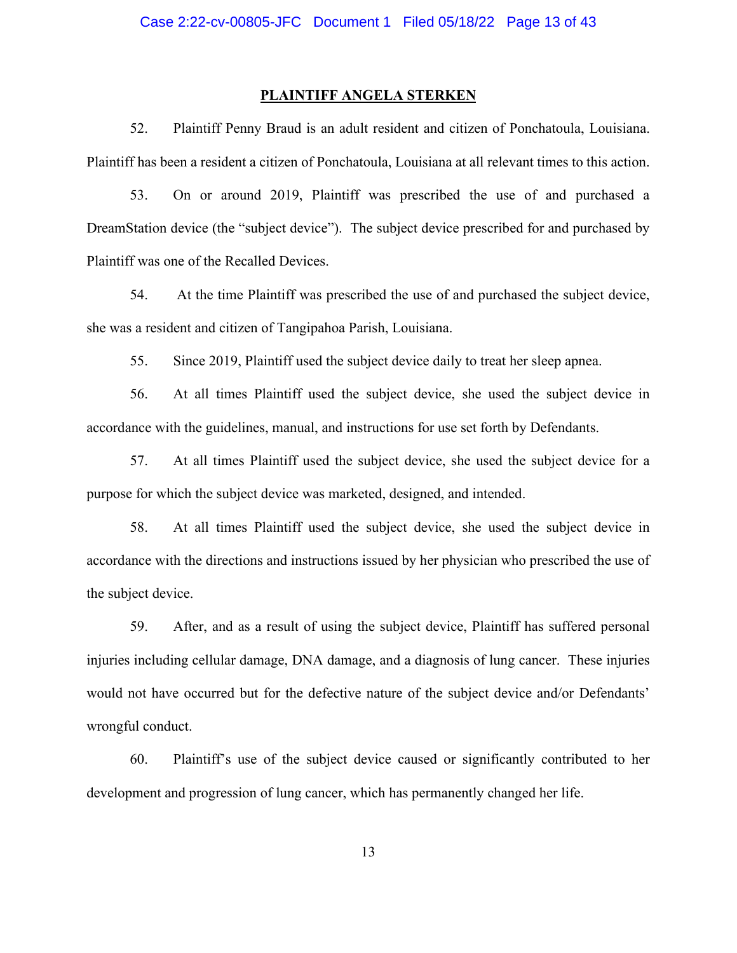#### **PLAINTIFF ANGELA STERKEN**

52. Plaintiff Penny Braud is an adult resident and citizen of Ponchatoula, Louisiana. Plaintiff has been a resident a citizen of Ponchatoula, Louisiana at all relevant times to this action.

53. On or around 2019, Plaintiff was prescribed the use of and purchased a DreamStation device (the "subject device"). The subject device prescribed for and purchased by Plaintiff was one of the Recalled Devices.

54. At the time Plaintiff was prescribed the use of and purchased the subject device, she was a resident and citizen of Tangipahoa Parish, Louisiana.

55. Since 2019, Plaintiff used the subject device daily to treat her sleep apnea.

56. At all times Plaintiff used the subject device, she used the subject device in accordance with the guidelines, manual, and instructions for use set forth by Defendants.

57. At all times Plaintiff used the subject device, she used the subject device for a purpose for which the subject device was marketed, designed, and intended.

58. At all times Plaintiff used the subject device, she used the subject device in accordance with the directions and instructions issued by her physician who prescribed the use of the subject device.

59. After, and as a result of using the subject device, Plaintiff has suffered personal injuries including cellular damage, DNA damage, and a diagnosis of lung cancer. These injuries would not have occurred but for the defective nature of the subject device and/or Defendants' wrongful conduct.

60. Plaintiff's use of the subject device caused or significantly contributed to her development and progression of lung cancer, which has permanently changed her life.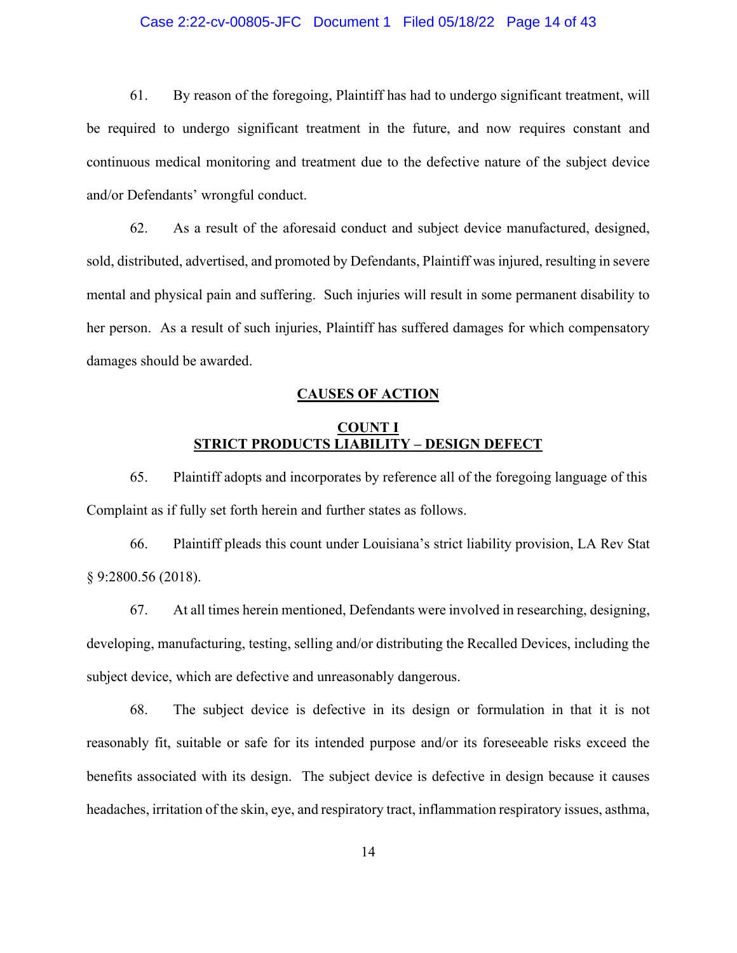## Case 2:22-cv-00805-JFC Document 1 Filed 05/18/22 Page 14 of 43

61. By reason of the foregoing, Plaintiff has had to undergo significant treatment, will be required to undergo significant treatment in the future, and now requires constant and continuous medical monitoring and treatment due to the defective nature of the subject device and/or Defendants' wrongful conduct.

62. As a result of the aforesaid conduct and subject device manufactured, designed, sold, distributed, advertised, and promoted by Defendants, Plaintiff was injured, resulting in severe mental and physical pain and suffering. Such injuries will result in some permanent disability to her person. As a result of such injuries, Plaintiff has suffered damages for which compensatory damages should be awarded.

#### **CAUSES OF ACTION**

# **COUNT I STRICT PRODUCTS LIABILITY – DESIGN DEFECT**

65. Plaintiff adopts and incorporates by reference all of the foregoing language of this Complaint as if fully set forth herein and further states as follows.

66. Plaintiff pleads this count under Louisiana's strict liability provision, LA Rev Stat § 9:2800.56 (2018).

67. At all times herein mentioned, Defendants were involved in researching, designing, developing, manufacturing, testing, selling and/or distributing the Recalled Devices, including the subject device, which are defective and unreasonably dangerous.

68. The subject device is defective in its design or formulation in that it is not reasonably fit, suitable or safe for its intended purpose and/or its foreseeable risks exceed the benefits associated with its design. The subject device is defective in design because it causes headaches, irritation of the skin, eye, and respiratory tract, inflammation respiratory issues, asthma,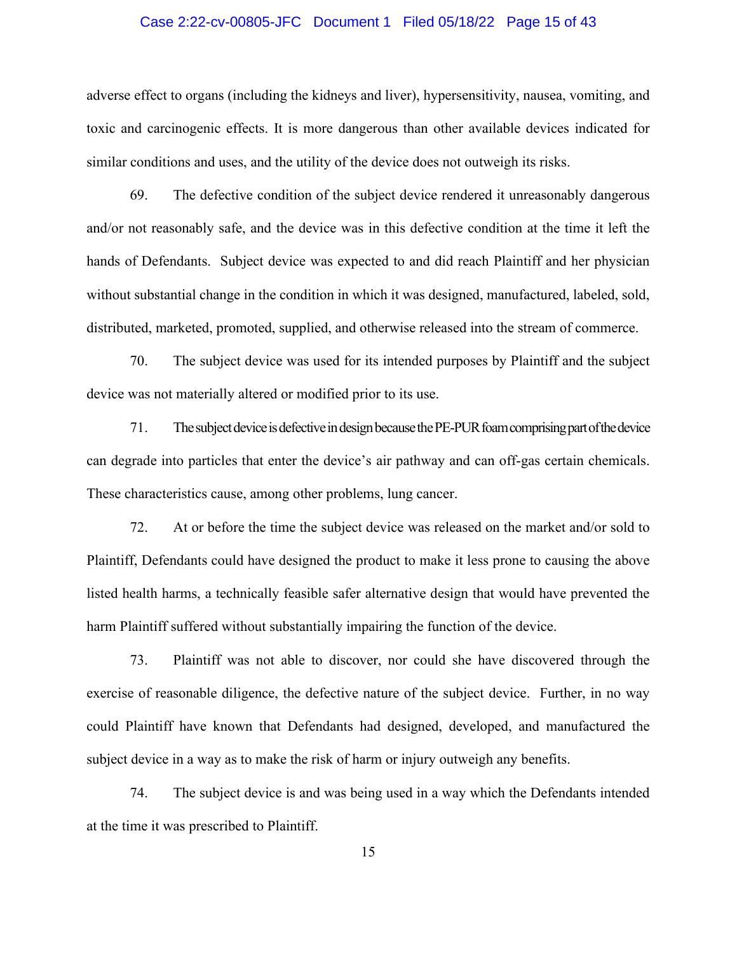#### Case 2:22-cv-00805-JFC Document 1 Filed 05/18/22 Page 15 of 43

adverse effect to organs (including the kidneys and liver), hypersensitivity, nausea, vomiting, and toxic and carcinogenic effects. It is more dangerous than other available devices indicated for similar conditions and uses, and the utility of the device does not outweigh its risks.

69. The defective condition of the subject device rendered it unreasonably dangerous and/or not reasonably safe, and the device was in this defective condition at the time it left the hands of Defendants. Subject device was expected to and did reach Plaintiff and her physician without substantial change in the condition in which it was designed, manufactured, labeled, sold, distributed, marketed, promoted, supplied, and otherwise released into the stream of commerce.

70. The subject device was used for its intended purposes by Plaintiff and the subject device was not materially altered or modified prior to its use.

71. The subject device is defective in design because the PE-PUR foam comprising part of the device can degrade into particles that enter the device's air pathway and can off-gas certain chemicals. These characteristics cause, among other problems, lung cancer.

72. At or before the time the subject device was released on the market and/or sold to Plaintiff, Defendants could have designed the product to make it less prone to causing the above listed health harms, a technically feasible safer alternative design that would have prevented the harm Plaintiff suffered without substantially impairing the function of the device.

73. Plaintiff was not able to discover, nor could she have discovered through the exercise of reasonable diligence, the defective nature of the subject device. Further, in no way could Plaintiff have known that Defendants had designed, developed, and manufactured the subject device in a way as to make the risk of harm or injury outweigh any benefits.

74. The subject device is and was being used in a way which the Defendants intended at the time it was prescribed to Plaintiff.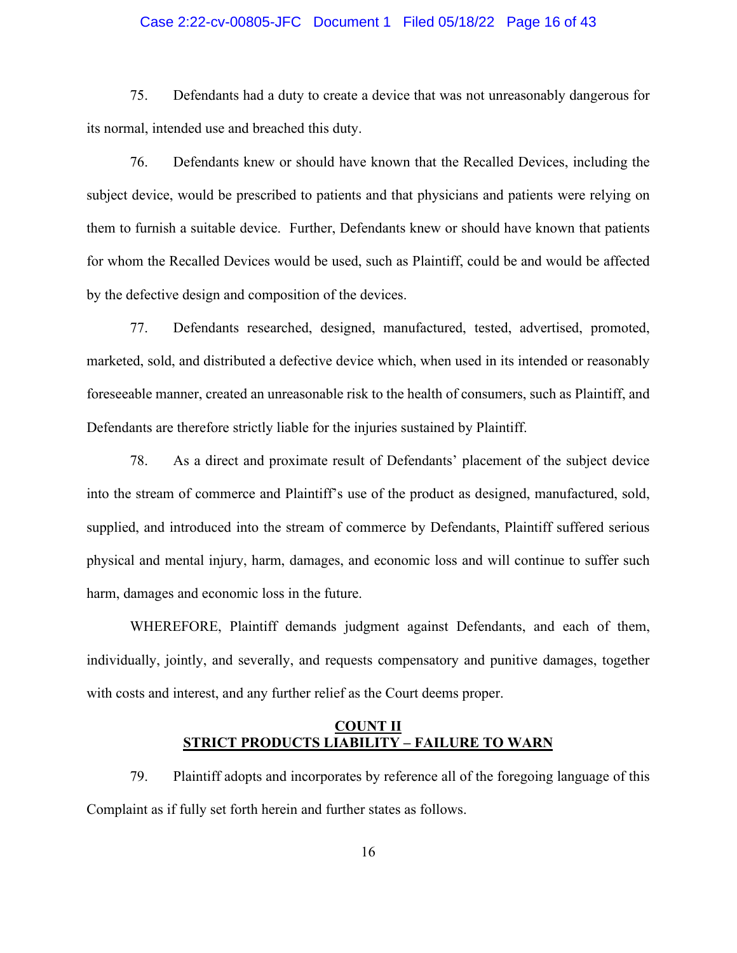## Case 2:22-cv-00805-JFC Document 1 Filed 05/18/22 Page 16 of 43

75. Defendants had a duty to create a device that was not unreasonably dangerous for its normal, intended use and breached this duty.

76. Defendants knew or should have known that the Recalled Devices, including the subject device, would be prescribed to patients and that physicians and patients were relying on them to furnish a suitable device. Further, Defendants knew or should have known that patients for whom the Recalled Devices would be used, such as Plaintiff, could be and would be affected by the defective design and composition of the devices.

77. Defendants researched, designed, manufactured, tested, advertised, promoted, marketed, sold, and distributed a defective device which, when used in its intended or reasonably foreseeable manner, created an unreasonable risk to the health of consumers, such as Plaintiff, and Defendants are therefore strictly liable for the injuries sustained by Plaintiff.

78. As a direct and proximate result of Defendants' placement of the subject device into the stream of commerce and Plaintiff's use of the product as designed, manufactured, sold, supplied, and introduced into the stream of commerce by Defendants, Plaintiff suffered serious physical and mental injury, harm, damages, and economic loss and will continue to suffer such harm, damages and economic loss in the future.

WHEREFORE, Plaintiff demands judgment against Defendants, and each of them, individually, jointly, and severally, and requests compensatory and punitive damages, together with costs and interest, and any further relief as the Court deems proper.

## **COUNT II STRICT PRODUCTS LIABILITY – FAILURE TO WARN**

79. Plaintiff adopts and incorporates by reference all of the foregoing language of this Complaint as if fully set forth herein and further states as follows.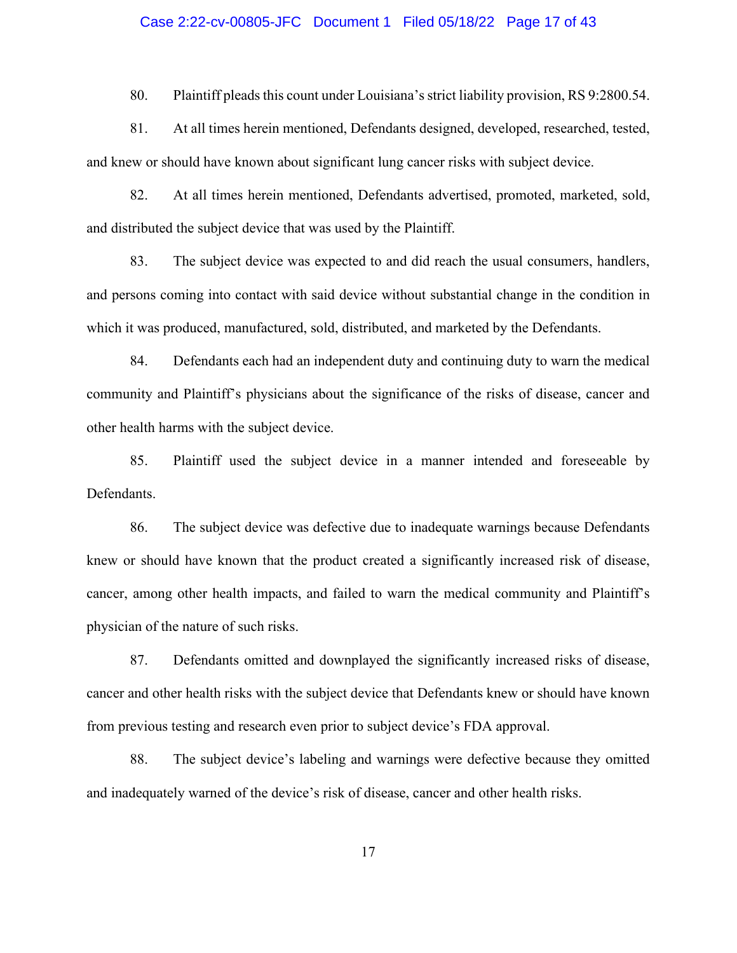#### Case 2:22-cv-00805-JFC Document 1 Filed 05/18/22 Page 17 of 43

80. Plaintiff pleads this count under Louisiana'sstrict liability provision, RS 9:2800.54.

81. At all times herein mentioned, Defendants designed, developed, researched, tested, and knew or should have known about significant lung cancer risks with subject device.

82. At all times herein mentioned, Defendants advertised, promoted, marketed, sold, and distributed the subject device that was used by the Plaintiff.

83. The subject device was expected to and did reach the usual consumers, handlers, and persons coming into contact with said device without substantial change in the condition in which it was produced, manufactured, sold, distributed, and marketed by the Defendants.

84. Defendants each had an independent duty and continuing duty to warn the medical community and Plaintiff's physicians about the significance of the risks of disease, cancer and other health harms with the subject device.

85. Plaintiff used the subject device in a manner intended and foreseeable by Defendants.

86. The subject device was defective due to inadequate warnings because Defendants knew or should have known that the product created a significantly increased risk of disease, cancer, among other health impacts, and failed to warn the medical community and Plaintiff's physician of the nature of such risks.

87. Defendants omitted and downplayed the significantly increased risks of disease, cancer and other health risks with the subject device that Defendants knew or should have known from previous testing and research even prior to subject device's FDA approval.

88. The subject device's labeling and warnings were defective because they omitted and inadequately warned of the device's risk of disease, cancer and other health risks.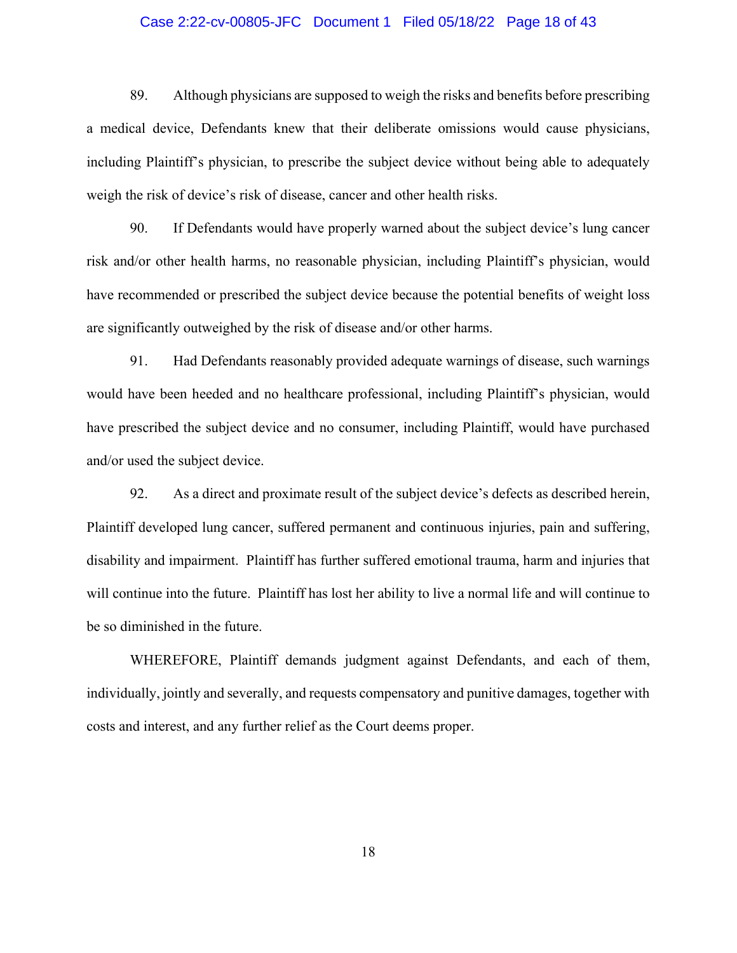## Case 2:22-cv-00805-JFC Document 1 Filed 05/18/22 Page 18 of 43

89. Although physicians are supposed to weigh the risks and benefits before prescribing a medical device, Defendants knew that their deliberate omissions would cause physicians, including Plaintiff's physician, to prescribe the subject device without being able to adequately weigh the risk of device's risk of disease, cancer and other health risks.

90. If Defendants would have properly warned about the subject device's lung cancer risk and/or other health harms, no reasonable physician, including Plaintiff's physician, would have recommended or prescribed the subject device because the potential benefits of weight loss are significantly outweighed by the risk of disease and/or other harms.

91. Had Defendants reasonably provided adequate warnings of disease, such warnings would have been heeded and no healthcare professional, including Plaintiff's physician, would have prescribed the subject device and no consumer, including Plaintiff, would have purchased and/or used the subject device.

92. As a direct and proximate result of the subject device's defects as described herein, Plaintiff developed lung cancer, suffered permanent and continuous injuries, pain and suffering, disability and impairment. Plaintiff has further suffered emotional trauma, harm and injuries that will continue into the future. Plaintiff has lost her ability to live a normal life and will continue to be so diminished in the future.

WHEREFORE, Plaintiff demands judgment against Defendants, and each of them, individually, jointly and severally, and requests compensatory and punitive damages, together with costs and interest, and any further relief as the Court deems proper.

18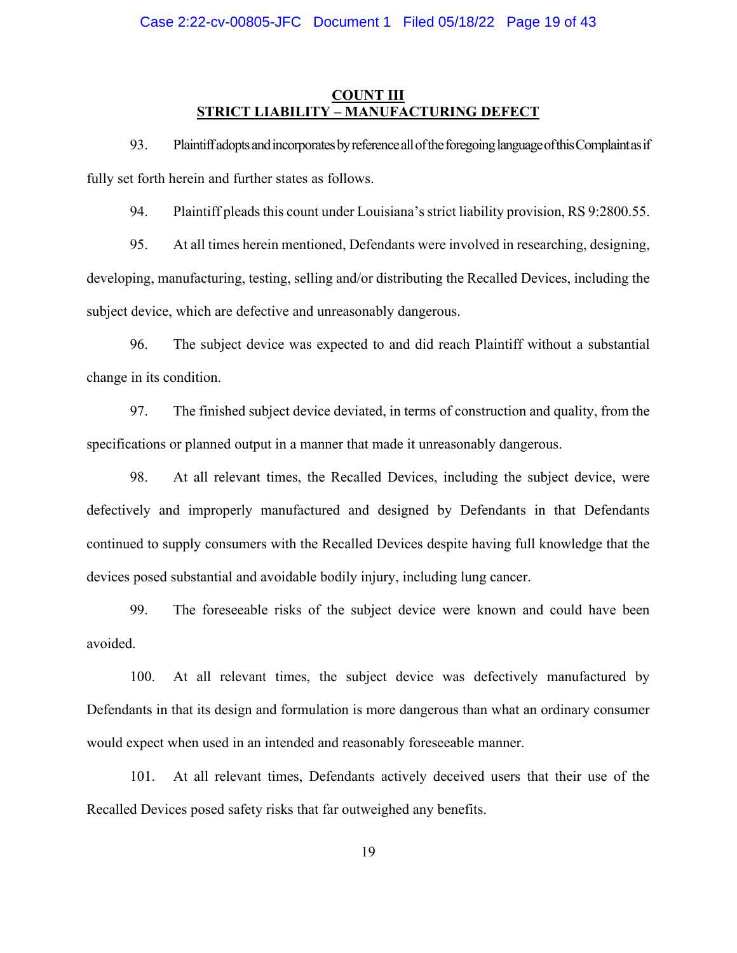# **COUNT III STRICT LIABILITY – MANUFACTURING DEFECT**

93. Plaintiff adopts and incorporates by reference all of the foregoing language of this Complaint as if fully set forth herein and further states as follows.

94. Plaintiff pleads this count under Louisiana's strict liability provision, RS 9:2800.55.

95. At all times herein mentioned, Defendants were involved in researching, designing, developing, manufacturing, testing, selling and/or distributing the Recalled Devices, including the subject device, which are defective and unreasonably dangerous.

96. The subject device was expected to and did reach Plaintiff without a substantial change in its condition.

97. The finished subject device deviated, in terms of construction and quality, from the specifications or planned output in a manner that made it unreasonably dangerous.

98. At all relevant times, the Recalled Devices, including the subject device, were defectively and improperly manufactured and designed by Defendants in that Defendants continued to supply consumers with the Recalled Devices despite having full knowledge that the devices posed substantial and avoidable bodily injury, including lung cancer.

99. The foreseeable risks of the subject device were known and could have been avoided.

100. At all relevant times, the subject device was defectively manufactured by Defendants in that its design and formulation is more dangerous than what an ordinary consumer would expect when used in an intended and reasonably foreseeable manner.

101. At all relevant times, Defendants actively deceived users that their use of the Recalled Devices posed safety risks that far outweighed any benefits.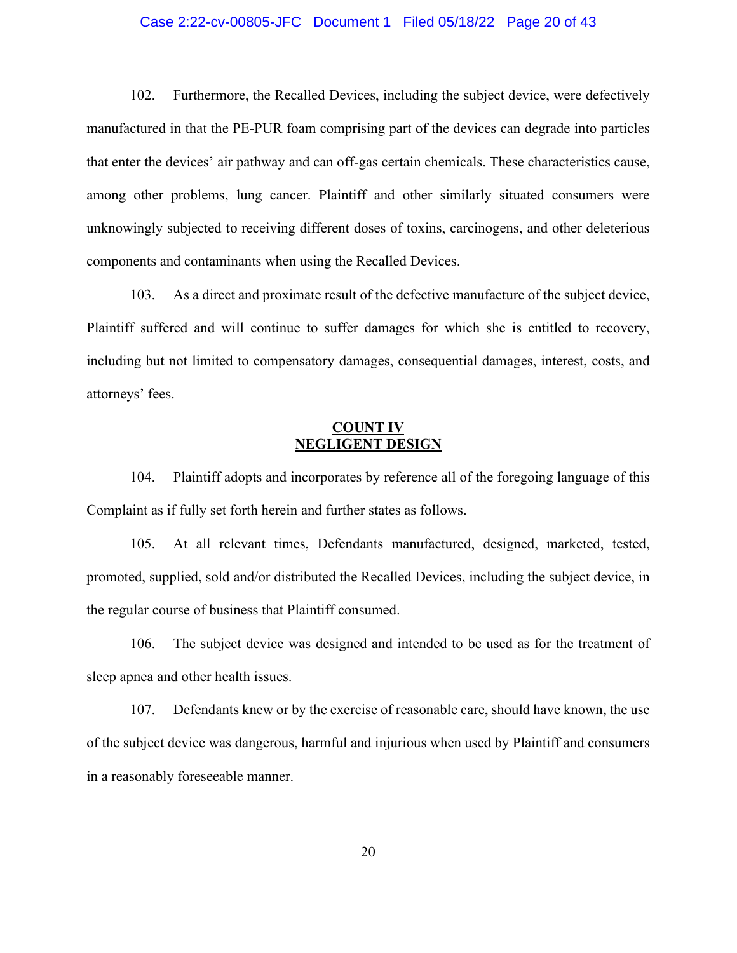### Case 2:22-cv-00805-JFC Document 1 Filed 05/18/22 Page 20 of 43

102. Furthermore, the Recalled Devices, including the subject device, were defectively manufactured in that the PE-PUR foam comprising part of the devices can degrade into particles that enter the devices' air pathway and can off-gas certain chemicals. These characteristics cause, among other problems, lung cancer. Plaintiff and other similarly situated consumers were unknowingly subjected to receiving different doses of toxins, carcinogens, and other deleterious components and contaminants when using the Recalled Devices.

103. As a direct and proximate result of the defective manufacture of the subject device, Plaintiff suffered and will continue to suffer damages for which she is entitled to recovery, including but not limited to compensatory damages, consequential damages, interest, costs, and attorneys' fees.

# **COUNT IV NEGLIGENT DESIGN**

104. Plaintiff adopts and incorporates by reference all of the foregoing language of this Complaint as if fully set forth herein and further states as follows.

105. At all relevant times, Defendants manufactured, designed, marketed, tested, promoted, supplied, sold and/or distributed the Recalled Devices, including the subject device, in the regular course of business that Plaintiff consumed.

106. The subject device was designed and intended to be used as for the treatment of sleep apnea and other health issues.

107. Defendants knew or by the exercise of reasonable care, should have known, the use of the subject device was dangerous, harmful and injurious when used by Plaintiff and consumers in a reasonably foreseeable manner.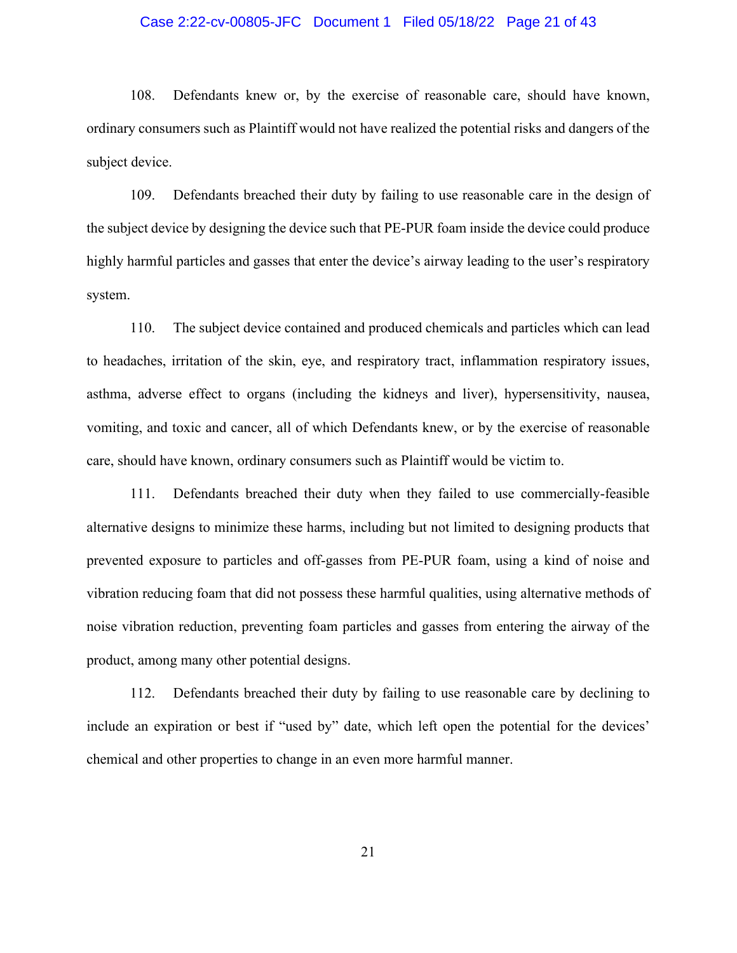### Case 2:22-cv-00805-JFC Document 1 Filed 05/18/22 Page 21 of 43

108. Defendants knew or, by the exercise of reasonable care, should have known, ordinary consumers such as Plaintiff would not have realized the potential risks and dangers of the subject device.

109. Defendants breached their duty by failing to use reasonable care in the design of the subject device by designing the device such that PE-PUR foam inside the device could produce highly harmful particles and gasses that enter the device's airway leading to the user's respiratory system.

110. The subject device contained and produced chemicals and particles which can lead to headaches, irritation of the skin, eye, and respiratory tract, inflammation respiratory issues, asthma, adverse effect to organs (including the kidneys and liver), hypersensitivity, nausea, vomiting, and toxic and cancer, all of which Defendants knew, or by the exercise of reasonable care, should have known, ordinary consumers such as Plaintiff would be victim to.

111. Defendants breached their duty when they failed to use commercially-feasible alternative designs to minimize these harms, including but not limited to designing products that prevented exposure to particles and off-gasses from PE-PUR foam, using a kind of noise and vibration reducing foam that did not possess these harmful qualities, using alternative methods of noise vibration reduction, preventing foam particles and gasses from entering the airway of the product, among many other potential designs.

112. Defendants breached their duty by failing to use reasonable care by declining to include an expiration or best if "used by" date, which left open the potential for the devices' chemical and other properties to change in an even more harmful manner.

21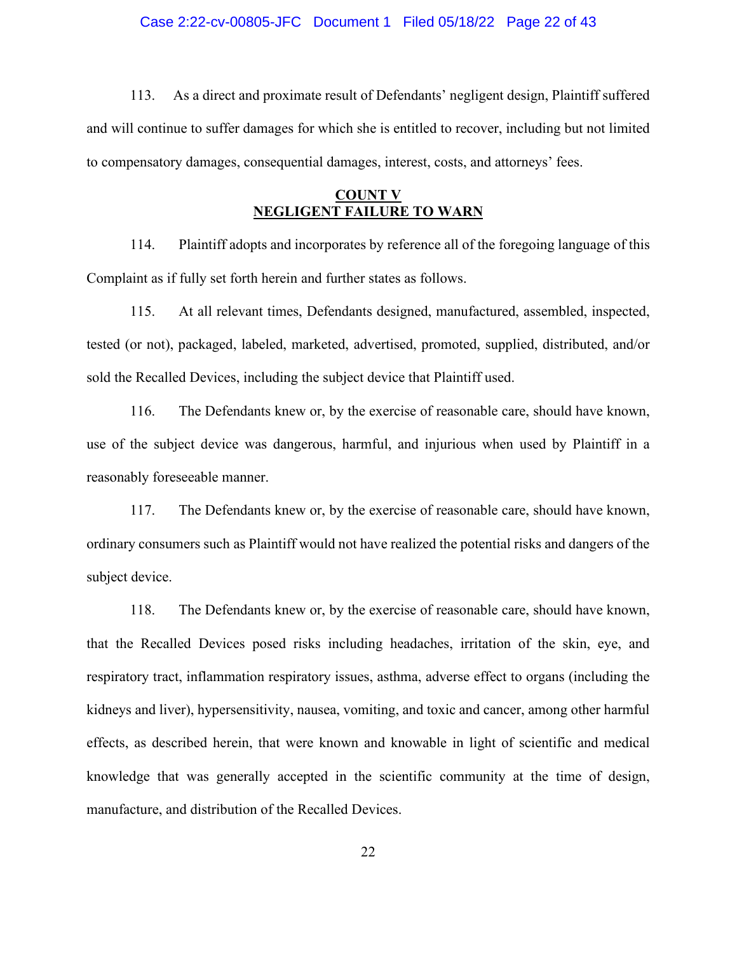#### Case 2:22-cv-00805-JFC Document 1 Filed 05/18/22 Page 22 of 43

113. As a direct and proximate result of Defendants' negligent design, Plaintiff suffered and will continue to suffer damages for which she is entitled to recover, including but not limited to compensatory damages, consequential damages, interest, costs, and attorneys' fees.

# **COUNT V NEGLIGENT FAILURE TO WARN**

114. Plaintiff adopts and incorporates by reference all of the foregoing language of this Complaint as if fully set forth herein and further states as follows.

115. At all relevant times, Defendants designed, manufactured, assembled, inspected, tested (or not), packaged, labeled, marketed, advertised, promoted, supplied, distributed, and/or sold the Recalled Devices, including the subject device that Plaintiff used.

116. The Defendants knew or, by the exercise of reasonable care, should have known, use of the subject device was dangerous, harmful, and injurious when used by Plaintiff in a reasonably foreseeable manner.

117. The Defendants knew or, by the exercise of reasonable care, should have known, ordinary consumers such as Plaintiff would not have realized the potential risks and dangers of the subject device.

118. The Defendants knew or, by the exercise of reasonable care, should have known, that the Recalled Devices posed risks including headaches, irritation of the skin, eye, and respiratory tract, inflammation respiratory issues, asthma, adverse effect to organs (including the kidneys and liver), hypersensitivity, nausea, vomiting, and toxic and cancer, among other harmful effects, as described herein, that were known and knowable in light of scientific and medical knowledge that was generally accepted in the scientific community at the time of design, manufacture, and distribution of the Recalled Devices.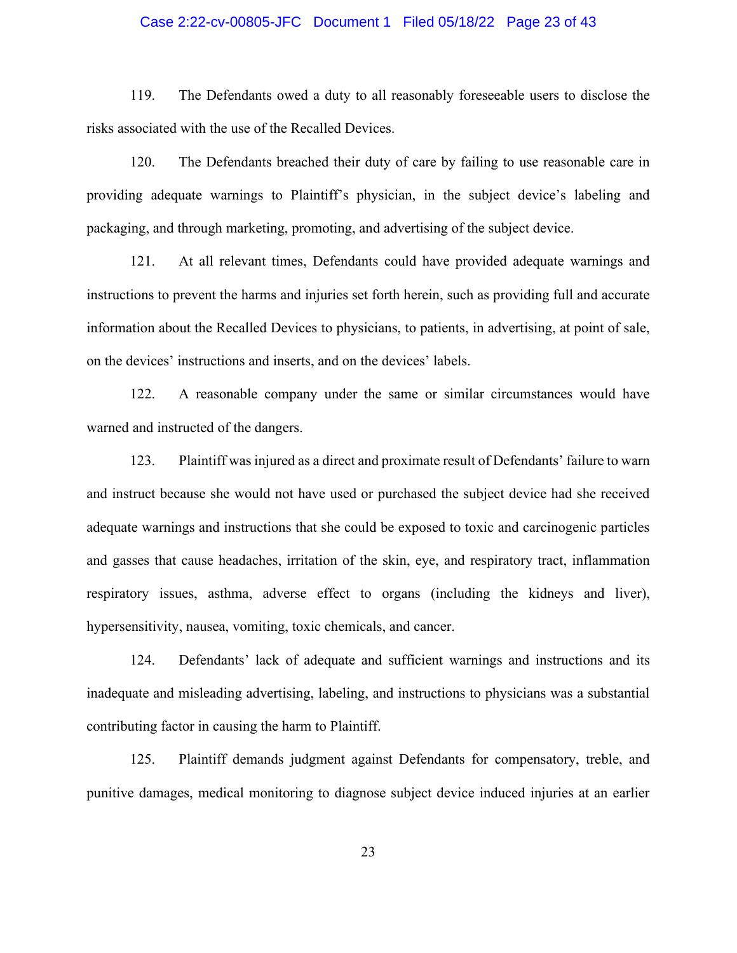## Case 2:22-cv-00805-JFC Document 1 Filed 05/18/22 Page 23 of 43

119. The Defendants owed a duty to all reasonably foreseeable users to disclose the risks associated with the use of the Recalled Devices.

120. The Defendants breached their duty of care by failing to use reasonable care in providing adequate warnings to Plaintiff's physician, in the subject device's labeling and packaging, and through marketing, promoting, and advertising of the subject device.

121. At all relevant times, Defendants could have provided adequate warnings and instructions to prevent the harms and injuries set forth herein, such as providing full and accurate information about the Recalled Devices to physicians, to patients, in advertising, at point of sale, on the devices' instructions and inserts, and on the devices' labels.

122. A reasonable company under the same or similar circumstances would have warned and instructed of the dangers.

123. Plaintiff was injured as a direct and proximate result of Defendants' failure to warn and instruct because she would not have used or purchased the subject device had she received adequate warnings and instructions that she could be exposed to toxic and carcinogenic particles and gasses that cause headaches, irritation of the skin, eye, and respiratory tract, inflammation respiratory issues, asthma, adverse effect to organs (including the kidneys and liver), hypersensitivity, nausea, vomiting, toxic chemicals, and cancer.

124. Defendants' lack of adequate and sufficient warnings and instructions and its inadequate and misleading advertising, labeling, and instructions to physicians was a substantial contributing factor in causing the harm to Plaintiff.

125. Plaintiff demands judgment against Defendants for compensatory, treble, and punitive damages, medical monitoring to diagnose subject device induced injuries at an earlier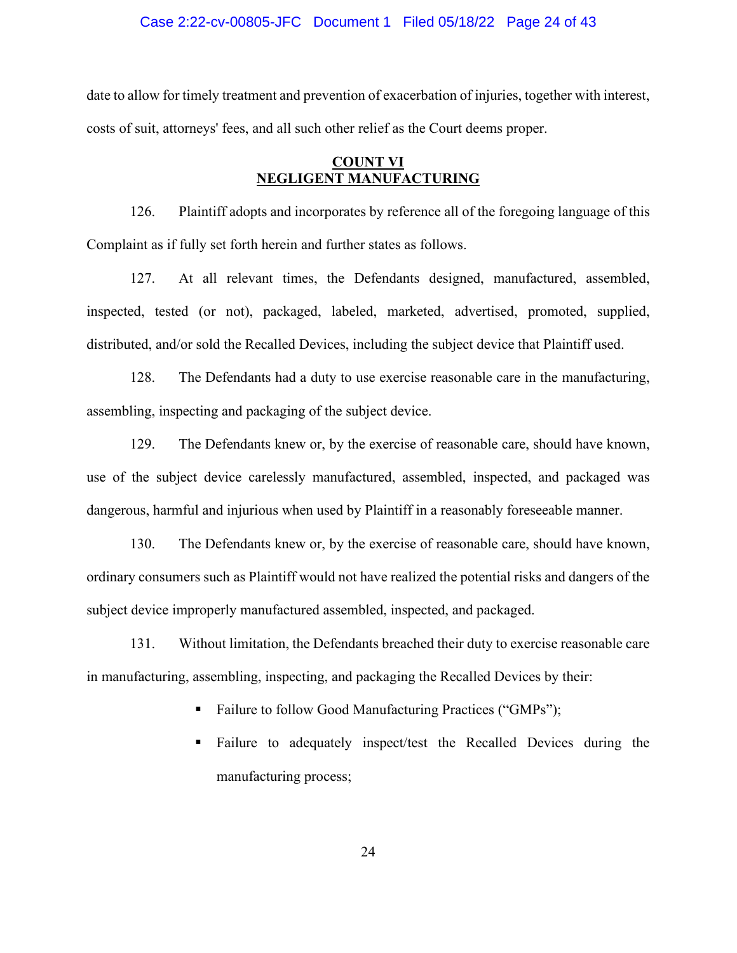#### Case 2:22-cv-00805-JFC Document 1 Filed 05/18/22 Page 24 of 43

date to allow for timely treatment and prevention of exacerbation of injuries, together with interest, costs of suit, attorneys' fees, and all such other relief as the Court deems proper.

# **COUNT VI NEGLIGENT MANUFACTURING**

126. Plaintiff adopts and incorporates by reference all of the foregoing language of this Complaint as if fully set forth herein and further states as follows.

127. At all relevant times, the Defendants designed, manufactured, assembled, inspected, tested (or not), packaged, labeled, marketed, advertised, promoted, supplied, distributed, and/or sold the Recalled Devices, including the subject device that Plaintiff used.

128. The Defendants had a duty to use exercise reasonable care in the manufacturing, assembling, inspecting and packaging of the subject device.

129. The Defendants knew or, by the exercise of reasonable care, should have known, use of the subject device carelessly manufactured, assembled, inspected, and packaged was dangerous, harmful and injurious when used by Plaintiff in a reasonably foreseeable manner.

130. The Defendants knew or, by the exercise of reasonable care, should have known, ordinary consumers such as Plaintiff would not have realized the potential risks and dangers of the subject device improperly manufactured assembled, inspected, and packaged.

131. Without limitation, the Defendants breached their duty to exercise reasonable care in manufacturing, assembling, inspecting, and packaging the Recalled Devices by their:

- Failure to follow Good Manufacturing Practices ("GMPs");
- Failure to adequately inspect/test the Recalled Devices during the manufacturing process;

24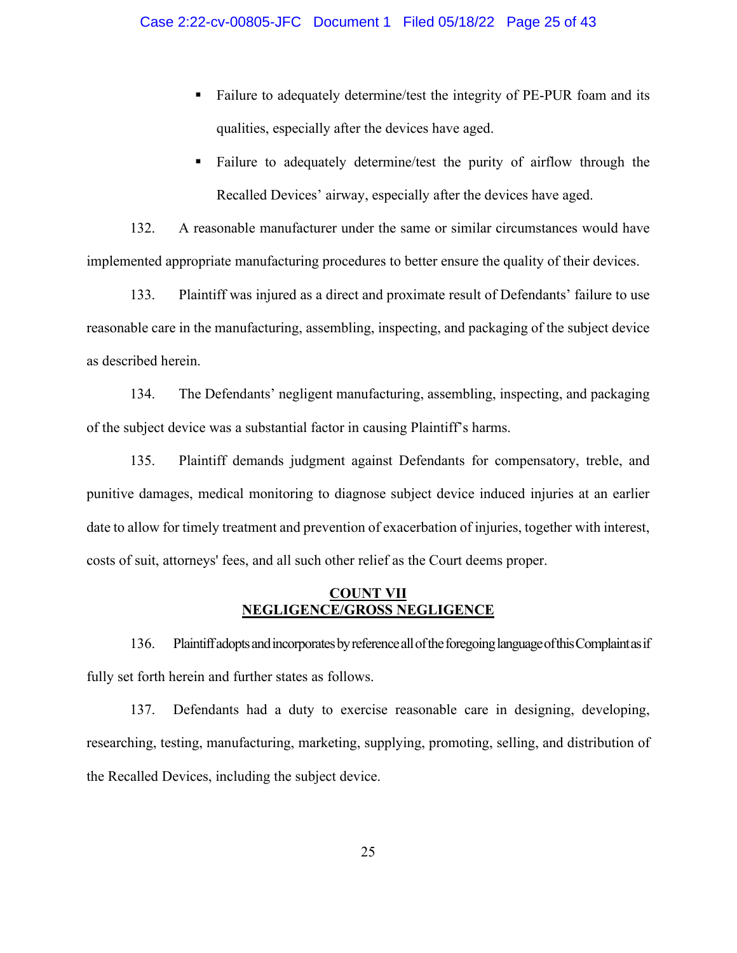- Failure to adequately determine/test the integrity of PE-PUR foam and its qualities, especially after the devices have aged.
- Failure to adequately determine/test the purity of airflow through the Recalled Devices' airway, especially after the devices have aged.

132. A reasonable manufacturer under the same or similar circumstances would have implemented appropriate manufacturing procedures to better ensure the quality of their devices.

133. Plaintiff was injured as a direct and proximate result of Defendants' failure to use reasonable care in the manufacturing, assembling, inspecting, and packaging of the subject device as described herein.

134. The Defendants' negligent manufacturing, assembling, inspecting, and packaging of the subject device was a substantial factor in causing Plaintiff's harms.

135. Plaintiff demands judgment against Defendants for compensatory, treble, and punitive damages, medical monitoring to diagnose subject device induced injuries at an earlier date to allow for timely treatment and prevention of exacerbation of injuries, together with interest, costs of suit, attorneys' fees, and all such other relief as the Court deems proper.

# **COUNT VII NEGLIGENCE/GROSS NEGLIGENCE**

136. Plaintiff adopts and incorporates by reference all of the foregoing language of this Complaint as if fully set forth herein and further states as follows.

137. Defendants had a duty to exercise reasonable care in designing, developing, researching, testing, manufacturing, marketing, supplying, promoting, selling, and distribution of the Recalled Devices, including the subject device.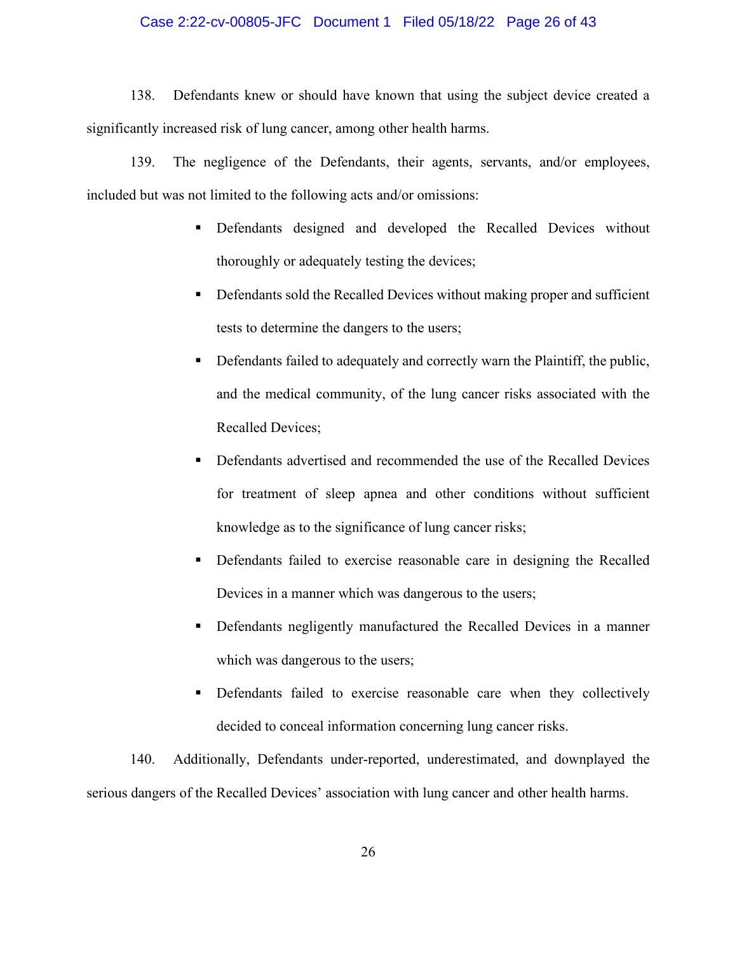## Case 2:22-cv-00805-JFC Document 1 Filed 05/18/22 Page 26 of 43

138. Defendants knew or should have known that using the subject device created a significantly increased risk of lung cancer, among other health harms.

139. The negligence of the Defendants, their agents, servants, and/or employees, included but was not limited to the following acts and/or omissions:

- Defendants designed and developed the Recalled Devices without thoroughly or adequately testing the devices;
- Defendants sold the Recalled Devices without making proper and sufficient tests to determine the dangers to the users;
- Defendants failed to adequately and correctly warn the Plaintiff, the public, and the medical community, of the lung cancer risks associated with the Recalled Devices;
- Defendants advertised and recommended the use of the Recalled Devices for treatment of sleep apnea and other conditions without sufficient knowledge as to the significance of lung cancer risks;
- Defendants failed to exercise reasonable care in designing the Recalled Devices in a manner which was dangerous to the users;
- Defendants negligently manufactured the Recalled Devices in a manner which was dangerous to the users;
- Defendants failed to exercise reasonable care when they collectively decided to conceal information concerning lung cancer risks.

140. Additionally, Defendants under-reported, underestimated, and downplayed the serious dangers of the Recalled Devices' association with lung cancer and other health harms.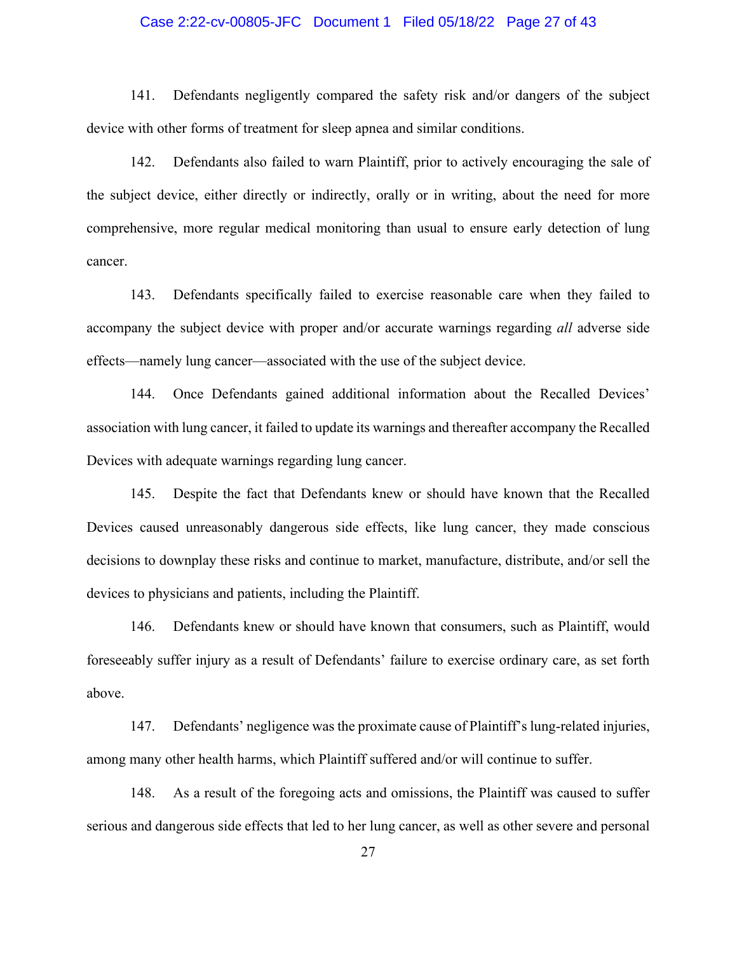## Case 2:22-cv-00805-JFC Document 1 Filed 05/18/22 Page 27 of 43

141. Defendants negligently compared the safety risk and/or dangers of the subject device with other forms of treatment for sleep apnea and similar conditions.

142. Defendants also failed to warn Plaintiff, prior to actively encouraging the sale of the subject device, either directly or indirectly, orally or in writing, about the need for more comprehensive, more regular medical monitoring than usual to ensure early detection of lung cancer.

143. Defendants specifically failed to exercise reasonable care when they failed to accompany the subject device with proper and/or accurate warnings regarding *all* adverse side effects—namely lung cancer—associated with the use of the subject device.

144. Once Defendants gained additional information about the Recalled Devices' association with lung cancer, it failed to update its warnings and thereafter accompany the Recalled Devices with adequate warnings regarding lung cancer.

145. Despite the fact that Defendants knew or should have known that the Recalled Devices caused unreasonably dangerous side effects, like lung cancer, they made conscious decisions to downplay these risks and continue to market, manufacture, distribute, and/or sell the devices to physicians and patients, including the Plaintiff.

146. Defendants knew or should have known that consumers, such as Plaintiff, would foreseeably suffer injury as a result of Defendants' failure to exercise ordinary care, as set forth above.

147. Defendants' negligence was the proximate cause of Plaintiff's lung-related injuries, among many other health harms, which Plaintiff suffered and/or will continue to suffer.

148. As a result of the foregoing acts and omissions, the Plaintiff was caused to suffer serious and dangerous side effects that led to her lung cancer, as well as other severe and personal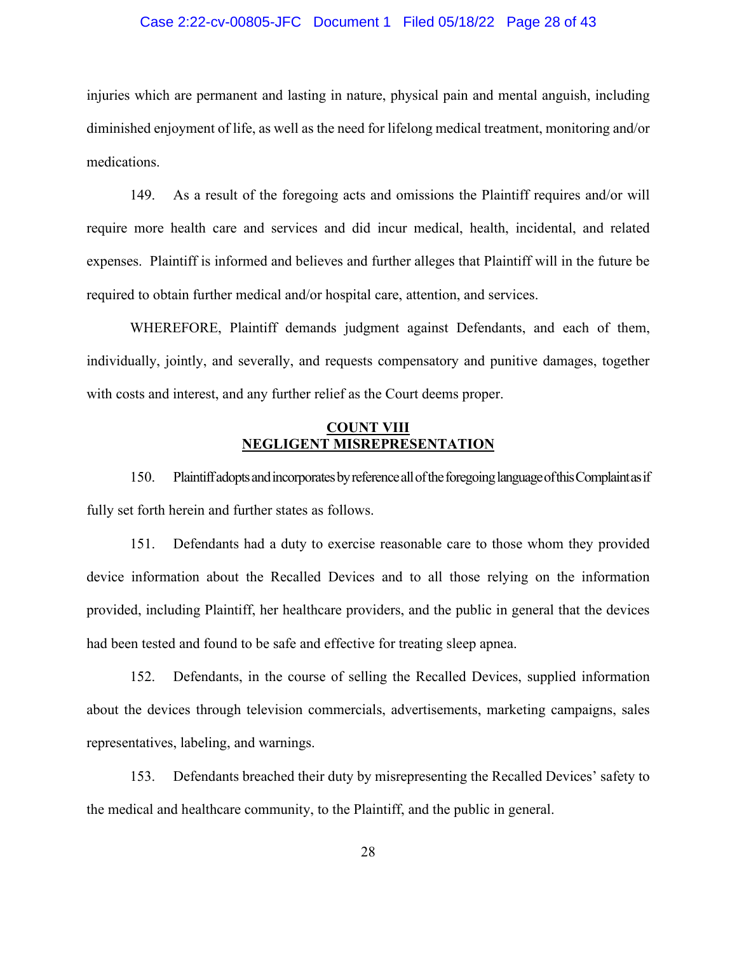#### Case 2:22-cv-00805-JFC Document 1 Filed 05/18/22 Page 28 of 43

injuries which are permanent and lasting in nature, physical pain and mental anguish, including diminished enjoyment of life, as well as the need for lifelong medical treatment, monitoring and/or medications.

149. As a result of the foregoing acts and omissions the Plaintiff requires and/or will require more health care and services and did incur medical, health, incidental, and related expenses. Plaintiff is informed and believes and further alleges that Plaintiff will in the future be required to obtain further medical and/or hospital care, attention, and services.

WHEREFORE, Plaintiff demands judgment against Defendants, and each of them, individually, jointly, and severally, and requests compensatory and punitive damages, together with costs and interest, and any further relief as the Court deems proper.

## **COUNT VIII NEGLIGENT MISREPRESENTATION**

150. Plaintiff adopts and incorporates by reference all of the foregoing language of this Complaint as if fully set forth herein and further states as follows.

151. Defendants had a duty to exercise reasonable care to those whom they provided device information about the Recalled Devices and to all those relying on the information provided, including Plaintiff, her healthcare providers, and the public in general that the devices had been tested and found to be safe and effective for treating sleep apnea.

152. Defendants, in the course of selling the Recalled Devices, supplied information about the devices through television commercials, advertisements, marketing campaigns, sales representatives, labeling, and warnings.

153. Defendants breached their duty by misrepresenting the Recalled Devices' safety to the medical and healthcare community, to the Plaintiff, and the public in general.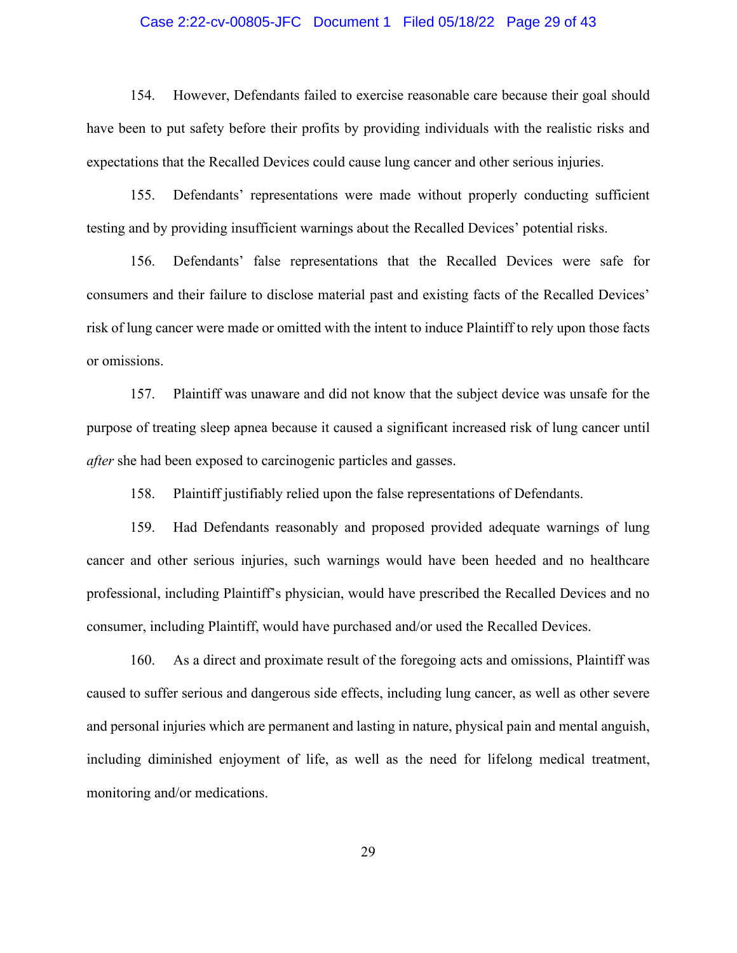### Case 2:22-cv-00805-JFC Document 1 Filed 05/18/22 Page 29 of 43

154. However, Defendants failed to exercise reasonable care because their goal should have been to put safety before their profits by providing individuals with the realistic risks and expectations that the Recalled Devices could cause lung cancer and other serious injuries.

155. Defendants' representations were made without properly conducting sufficient testing and by providing insufficient warnings about the Recalled Devices' potential risks.

156. Defendants' false representations that the Recalled Devices were safe for consumers and their failure to disclose material past and existing facts of the Recalled Devices' risk of lung cancer were made or omitted with the intent to induce Plaintiff to rely upon those facts or omissions.

157. Plaintiff was unaware and did not know that the subject device was unsafe for the purpose of treating sleep apnea because it caused a significant increased risk of lung cancer until *after* she had been exposed to carcinogenic particles and gasses.

158. Plaintiff justifiably relied upon the false representations of Defendants.

159. Had Defendants reasonably and proposed provided adequate warnings of lung cancer and other serious injuries, such warnings would have been heeded and no healthcare professional, including Plaintiff's physician, would have prescribed the Recalled Devices and no consumer, including Plaintiff, would have purchased and/or used the Recalled Devices.

160. As a direct and proximate result of the foregoing acts and omissions, Plaintiff was caused to suffer serious and dangerous side effects, including lung cancer, as well as other severe and personal injuries which are permanent and lasting in nature, physical pain and mental anguish, including diminished enjoyment of life, as well as the need for lifelong medical treatment, monitoring and/or medications.

29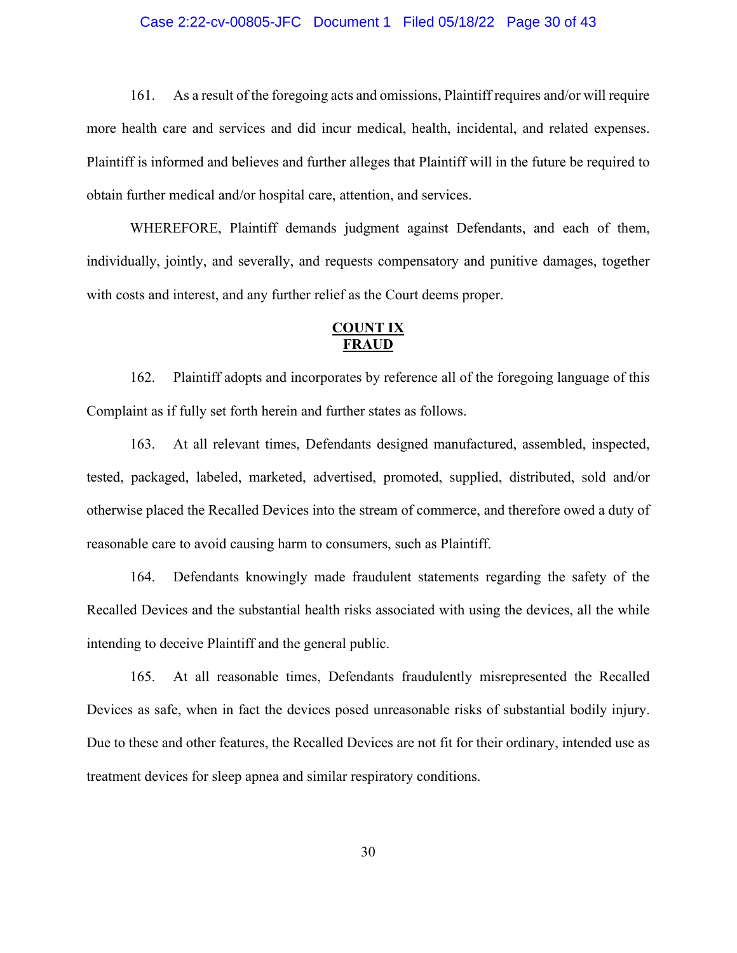## Case 2:22-cv-00805-JFC Document 1 Filed 05/18/22 Page 30 of 43

161. As a result of the foregoing acts and omissions, Plaintiff requires and/or will require more health care and services and did incur medical, health, incidental, and related expenses. Plaintiff is informed and believes and further alleges that Plaintiff will in the future be required to obtain further medical and/or hospital care, attention, and services.

WHEREFORE, Plaintiff demands judgment against Defendants, and each of them, individually, jointly, and severally, and requests compensatory and punitive damages, together with costs and interest, and any further relief as the Court deems proper.

# **COUNT IX FRAUD**

162. Plaintiff adopts and incorporates by reference all of the foregoing language of this Complaint as if fully set forth herein and further states as follows.

163. At all relevant times, Defendants designed manufactured, assembled, inspected, tested, packaged, labeled, marketed, advertised, promoted, supplied, distributed, sold and/or otherwise placed the Recalled Devices into the stream of commerce, and therefore owed a duty of reasonable care to avoid causing harm to consumers, such as Plaintiff.

164. Defendants knowingly made fraudulent statements regarding the safety of the Recalled Devices and the substantial health risks associated with using the devices, all the while intending to deceive Plaintiff and the general public.

165. At all reasonable times, Defendants fraudulently misrepresented the Recalled Devices as safe, when in fact the devices posed unreasonable risks of substantial bodily injury. Due to these and other features, the Recalled Devices are not fit for their ordinary, intended use as treatment devices for sleep apnea and similar respiratory conditions.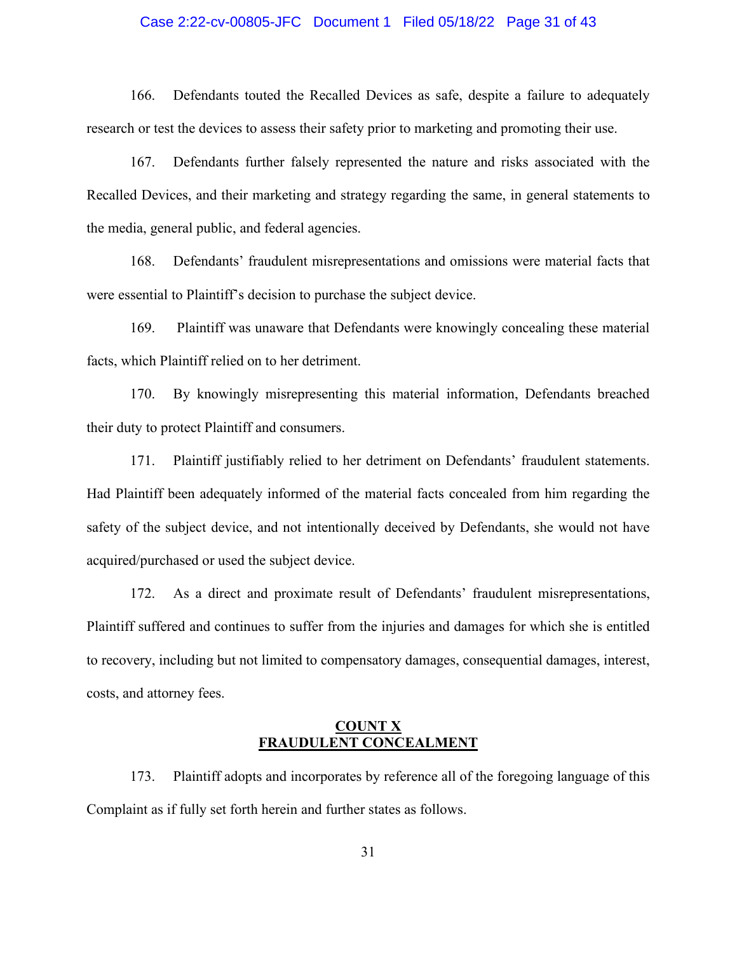#### Case 2:22-cv-00805-JFC Document 1 Filed 05/18/22 Page 31 of 43

166. Defendants touted the Recalled Devices as safe, despite a failure to adequately research or test the devices to assess their safety prior to marketing and promoting their use.

167. Defendants further falsely represented the nature and risks associated with the Recalled Devices, and their marketing and strategy regarding the same, in general statements to the media, general public, and federal agencies.

168. Defendants' fraudulent misrepresentations and omissions were material facts that were essential to Plaintiff's decision to purchase the subject device.

169. Plaintiff was unaware that Defendants were knowingly concealing these material facts, which Plaintiff relied on to her detriment.

170. By knowingly misrepresenting this material information, Defendants breached their duty to protect Plaintiff and consumers.

171. Plaintiff justifiably relied to her detriment on Defendants' fraudulent statements. Had Plaintiff been adequately informed of the material facts concealed from him regarding the safety of the subject device, and not intentionally deceived by Defendants, she would not have acquired/purchased or used the subject device.

172. As a direct and proximate result of Defendants' fraudulent misrepresentations, Plaintiff suffered and continues to suffer from the injuries and damages for which she is entitled to recovery, including but not limited to compensatory damages, consequential damages, interest, costs, and attorney fees.

## **COUNT X FRAUDULENT CONCEALMENT**

173. Plaintiff adopts and incorporates by reference all of the foregoing language of this Complaint as if fully set forth herein and further states as follows.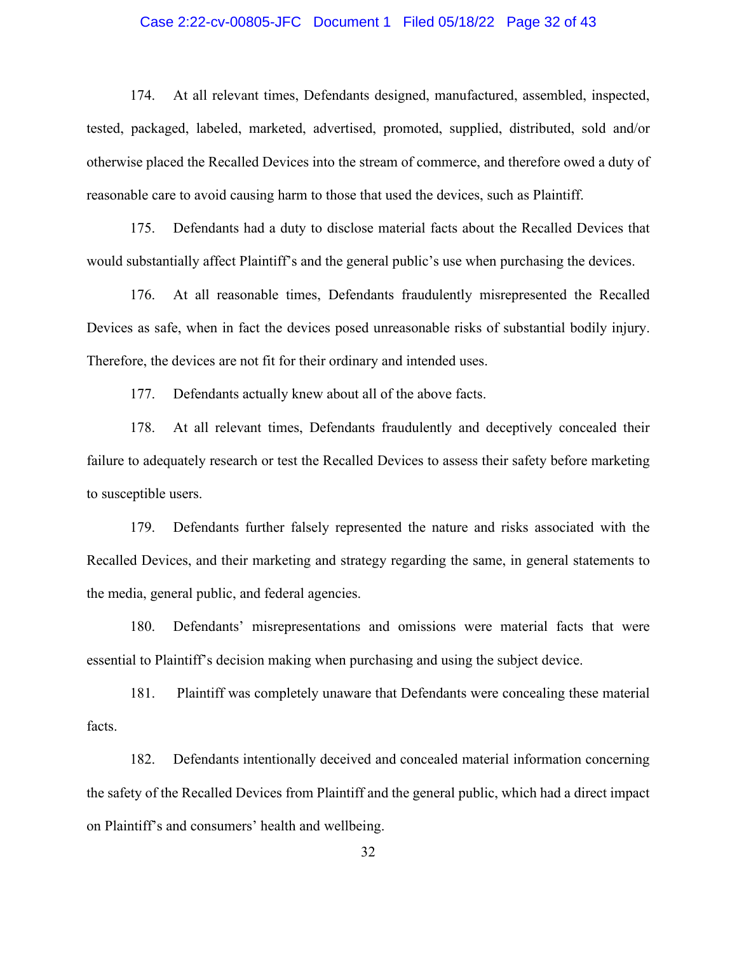## Case 2:22-cv-00805-JFC Document 1 Filed 05/18/22 Page 32 of 43

174. At all relevant times, Defendants designed, manufactured, assembled, inspected, tested, packaged, labeled, marketed, advertised, promoted, supplied, distributed, sold and/or otherwise placed the Recalled Devices into the stream of commerce, and therefore owed a duty of reasonable care to avoid causing harm to those that used the devices, such as Plaintiff.

175. Defendants had a duty to disclose material facts about the Recalled Devices that would substantially affect Plaintiff's and the general public's use when purchasing the devices.

176. At all reasonable times, Defendants fraudulently misrepresented the Recalled Devices as safe, when in fact the devices posed unreasonable risks of substantial bodily injury. Therefore, the devices are not fit for their ordinary and intended uses.

177. Defendants actually knew about all of the above facts.

178. At all relevant times, Defendants fraudulently and deceptively concealed their failure to adequately research or test the Recalled Devices to assess their safety before marketing to susceptible users.

179. Defendants further falsely represented the nature and risks associated with the Recalled Devices, and their marketing and strategy regarding the same, in general statements to the media, general public, and federal agencies.

180. Defendants' misrepresentations and omissions were material facts that were essential to Plaintiff's decision making when purchasing and using the subject device.

181. Plaintiff was completely unaware that Defendants were concealing these material facts.

182. Defendants intentionally deceived and concealed material information concerning the safety of the Recalled Devices from Plaintiff and the general public, which had a direct impact on Plaintiff's and consumers' health and wellbeing.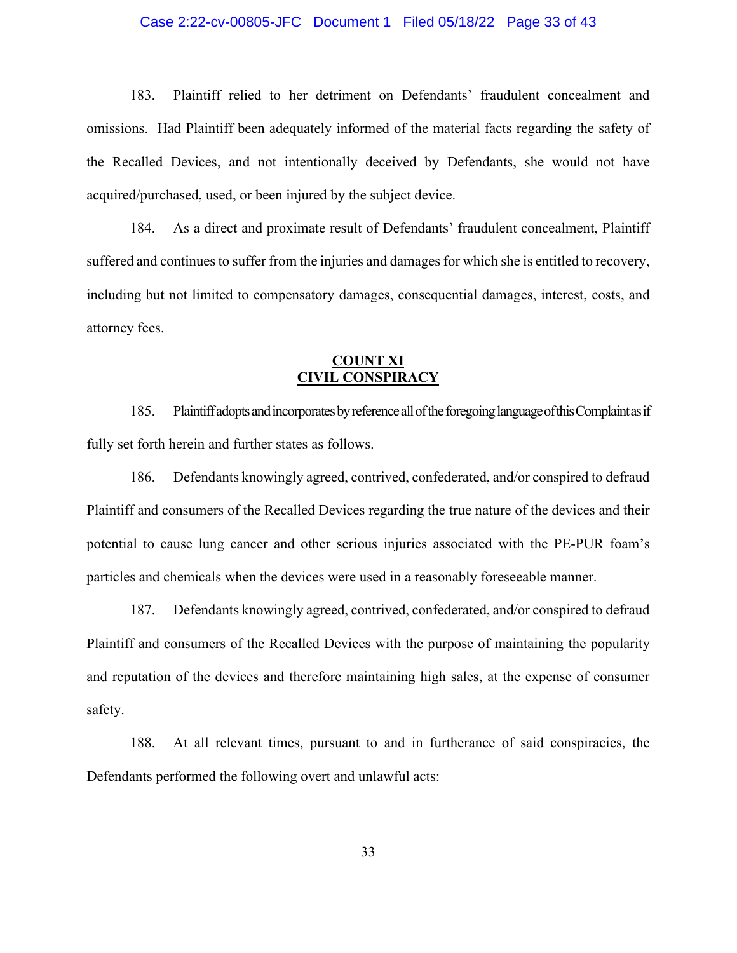## Case 2:22-cv-00805-JFC Document 1 Filed 05/18/22 Page 33 of 43

183. Plaintiff relied to her detriment on Defendants' fraudulent concealment and omissions. Had Plaintiff been adequately informed of the material facts regarding the safety of the Recalled Devices, and not intentionally deceived by Defendants, she would not have acquired/purchased, used, or been injured by the subject device.

184. As a direct and proximate result of Defendants' fraudulent concealment, Plaintiff suffered and continues to suffer from the injuries and damages for which she is entitled to recovery, including but not limited to compensatory damages, consequential damages, interest, costs, and attorney fees.

# **COUNT XI CIVIL CONSPIRACY**

185. Plaintiff adopts and incorporates by reference all of the foregoing language of this Complaint as if fully set forth herein and further states as follows.

186. Defendants knowingly agreed, contrived, confederated, and/or conspired to defraud Plaintiff and consumers of the Recalled Devices regarding the true nature of the devices and their potential to cause lung cancer and other serious injuries associated with the PE-PUR foam's particles and chemicals when the devices were used in a reasonably foreseeable manner.

187. Defendants knowingly agreed, contrived, confederated, and/or conspired to defraud Plaintiff and consumers of the Recalled Devices with the purpose of maintaining the popularity and reputation of the devices and therefore maintaining high sales, at the expense of consumer safety.

188. At all relevant times, pursuant to and in furtherance of said conspiracies, the Defendants performed the following overt and unlawful acts: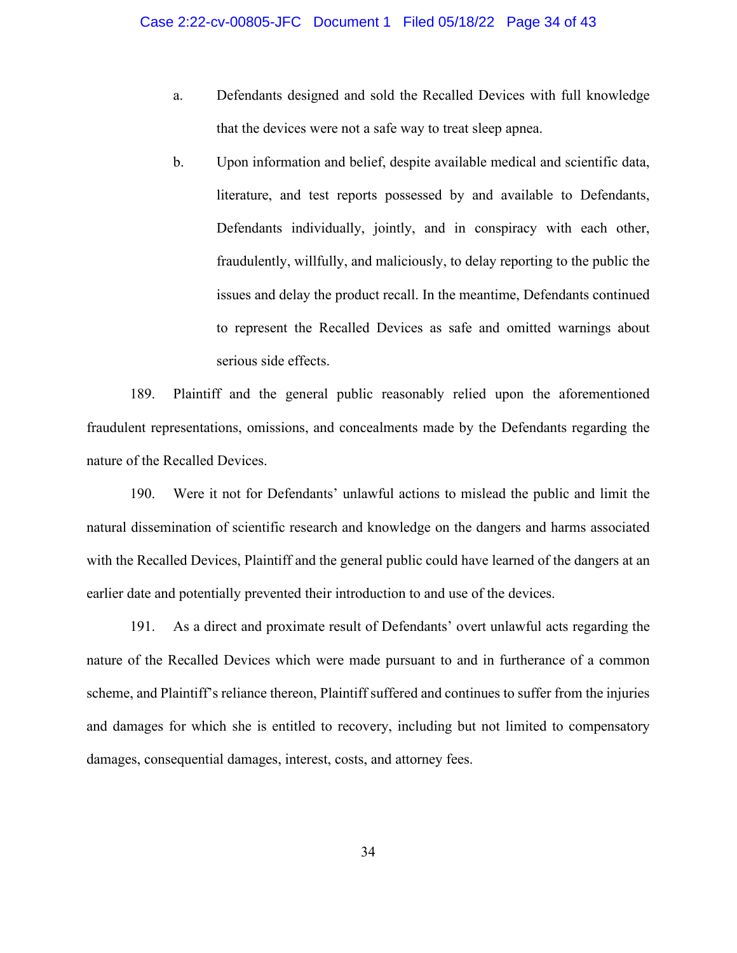- a. Defendants designed and sold the Recalled Devices with full knowledge that the devices were not a safe way to treat sleep apnea.
- b. Upon information and belief, despite available medical and scientific data, literature, and test reports possessed by and available to Defendants, Defendants individually, jointly, and in conspiracy with each other, fraudulently, willfully, and maliciously, to delay reporting to the public the issues and delay the product recall. In the meantime, Defendants continued to represent the Recalled Devices as safe and omitted warnings about serious side effects.

189. Plaintiff and the general public reasonably relied upon the aforementioned fraudulent representations, omissions, and concealments made by the Defendants regarding the nature of the Recalled Devices.

190. Were it not for Defendants' unlawful actions to mislead the public and limit the natural dissemination of scientific research and knowledge on the dangers and harms associated with the Recalled Devices, Plaintiff and the general public could have learned of the dangers at an earlier date and potentially prevented their introduction to and use of the devices.

191. As a direct and proximate result of Defendants' overt unlawful acts regarding the nature of the Recalled Devices which were made pursuant to and in furtherance of a common scheme, and Plaintiff's reliance thereon, Plaintiff suffered and continues to suffer from the injuries and damages for which she is entitled to recovery, including but not limited to compensatory damages, consequential damages, interest, costs, and attorney fees.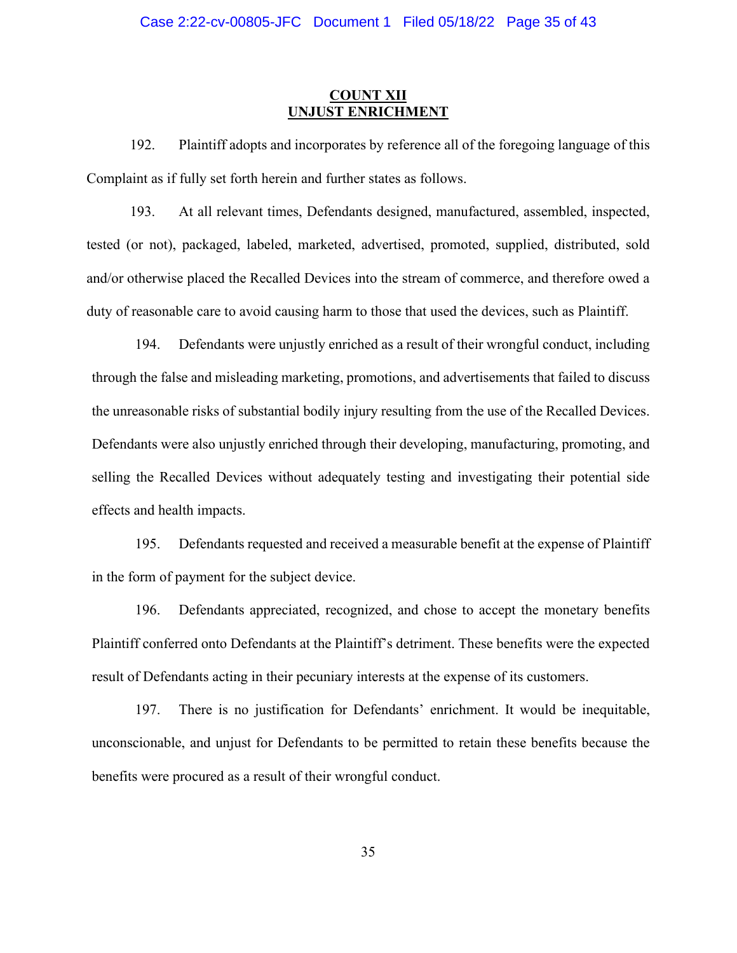## **COUNT XII UNJUST ENRICHMENT**

192. Plaintiff adopts and incorporates by reference all of the foregoing language of this Complaint as if fully set forth herein and further states as follows.

193. At all relevant times, Defendants designed, manufactured, assembled, inspected, tested (or not), packaged, labeled, marketed, advertised, promoted, supplied, distributed, sold and/or otherwise placed the Recalled Devices into the stream of commerce, and therefore owed a duty of reasonable care to avoid causing harm to those that used the devices, such as Plaintiff.

194. Defendants were unjustly enriched as a result of their wrongful conduct, including through the false and misleading marketing, promotions, and advertisements that failed to discuss the unreasonable risks of substantial bodily injury resulting from the use of the Recalled Devices. Defendants were also unjustly enriched through their developing, manufacturing, promoting, and selling the Recalled Devices without adequately testing and investigating their potential side effects and health impacts.

195. Defendants requested and received a measurable benefit at the expense of Plaintiff in the form of payment for the subject device.

196. Defendants appreciated, recognized, and chose to accept the monetary benefits Plaintiff conferred onto Defendants at the Plaintiff's detriment. These benefits were the expected result of Defendants acting in their pecuniary interests at the expense of its customers.

197. There is no justification for Defendants' enrichment. It would be inequitable, unconscionable, and unjust for Defendants to be permitted to retain these benefits because the benefits were procured as a result of their wrongful conduct.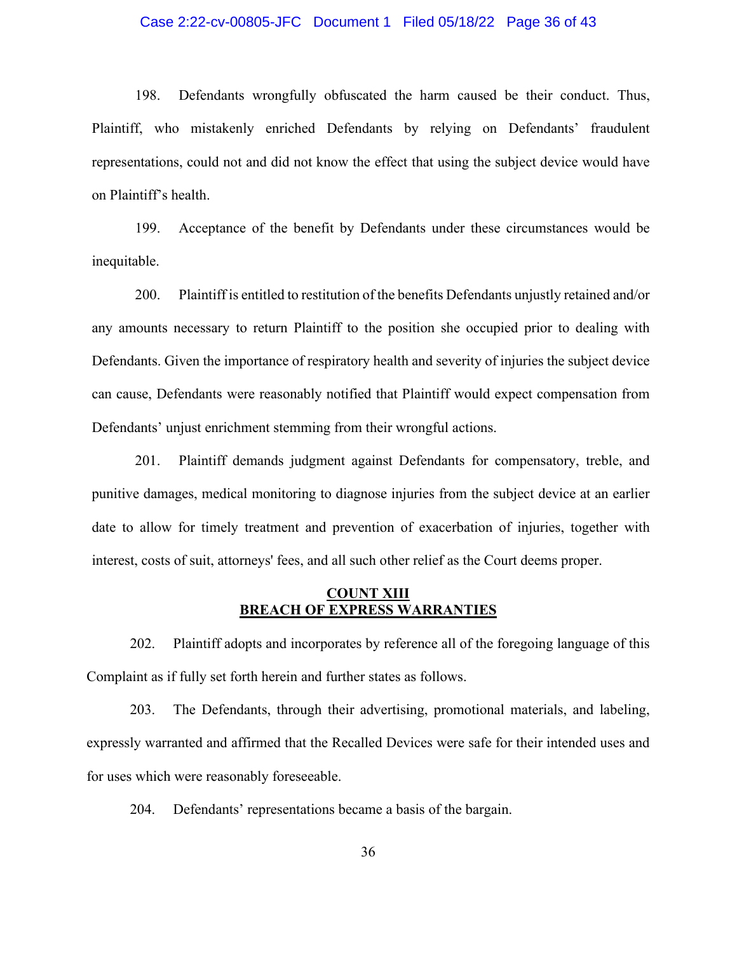### Case 2:22-cv-00805-JFC Document 1 Filed 05/18/22 Page 36 of 43

198. Defendants wrongfully obfuscated the harm caused be their conduct. Thus, Plaintiff, who mistakenly enriched Defendants by relying on Defendants' fraudulent representations, could not and did not know the effect that using the subject device would have on Plaintiff's health.

199. Acceptance of the benefit by Defendants under these circumstances would be inequitable.

200. Plaintiff is entitled to restitution of the benefits Defendants unjustly retained and/or any amounts necessary to return Plaintiff to the position she occupied prior to dealing with Defendants. Given the importance of respiratory health and severity of injuries the subject device can cause, Defendants were reasonably notified that Plaintiff would expect compensation from Defendants' unjust enrichment stemming from their wrongful actions.

201. Plaintiff demands judgment against Defendants for compensatory, treble, and punitive damages, medical monitoring to diagnose injuries from the subject device at an earlier date to allow for timely treatment and prevention of exacerbation of injuries, together with interest, costs of suit, attorneys' fees, and all such other relief as the Court deems proper.

## **COUNT XIII BREACH OF EXPRESS WARRANTIES**

202. Plaintiff adopts and incorporates by reference all of the foregoing language of this Complaint as if fully set forth herein and further states as follows.

203. The Defendants, through their advertising, promotional materials, and labeling, expressly warranted and affirmed that the Recalled Devices were safe for their intended uses and for uses which were reasonably foreseeable.

204. Defendants' representations became a basis of the bargain.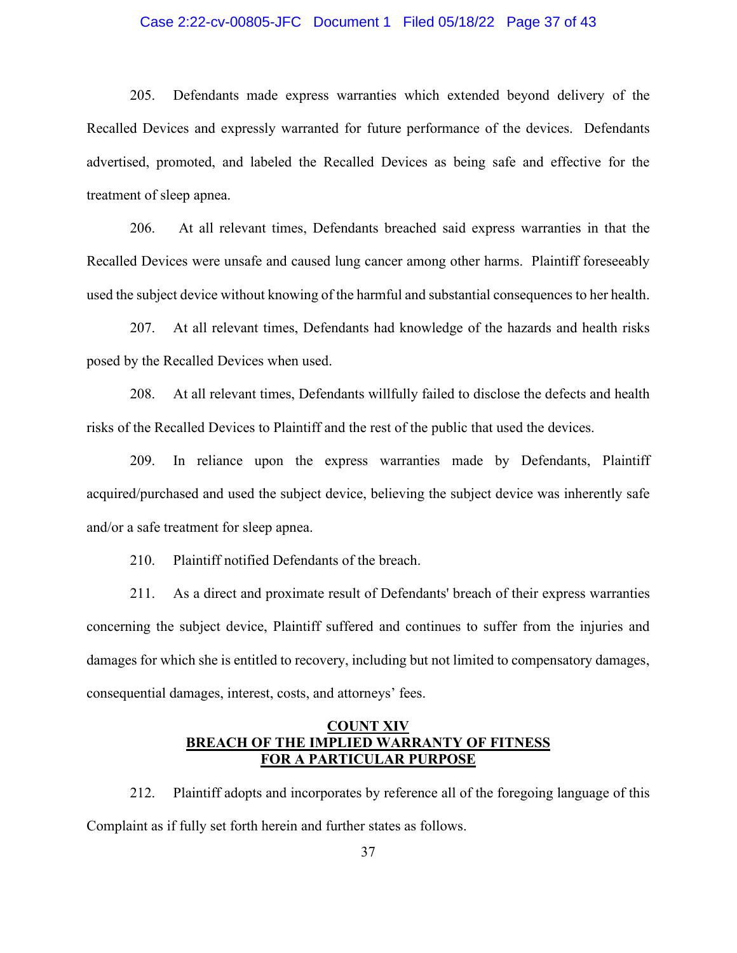## Case 2:22-cv-00805-JFC Document 1 Filed 05/18/22 Page 37 of 43

205. Defendants made express warranties which extended beyond delivery of the Recalled Devices and expressly warranted for future performance of the devices. Defendants advertised, promoted, and labeled the Recalled Devices as being safe and effective for the treatment of sleep apnea.

206. At all relevant times, Defendants breached said express warranties in that the Recalled Devices were unsafe and caused lung cancer among other harms. Plaintiff foreseeably used the subject device without knowing of the harmful and substantial consequences to her health.

207. At all relevant times, Defendants had knowledge of the hazards and health risks posed by the Recalled Devices when used.

208. At all relevant times, Defendants willfully failed to disclose the defects and health risks of the Recalled Devices to Plaintiff and the rest of the public that used the devices.

209. In reliance upon the express warranties made by Defendants, Plaintiff acquired/purchased and used the subject device, believing the subject device was inherently safe and/or a safe treatment for sleep apnea.

210. Plaintiff notified Defendants of the breach.

211. As a direct and proximate result of Defendants' breach of their express warranties concerning the subject device, Plaintiff suffered and continues to suffer from the injuries and damages for which she is entitled to recovery, including but not limited to compensatory damages, consequential damages, interest, costs, and attorneys' fees.

## **COUNT XIV BREACH OF THE IMPLIED WARRANTY OF FITNESS FOR A PARTICULAR PURPOSE**

212. Plaintiff adopts and incorporates by reference all of the foregoing language of this Complaint as if fully set forth herein and further states as follows.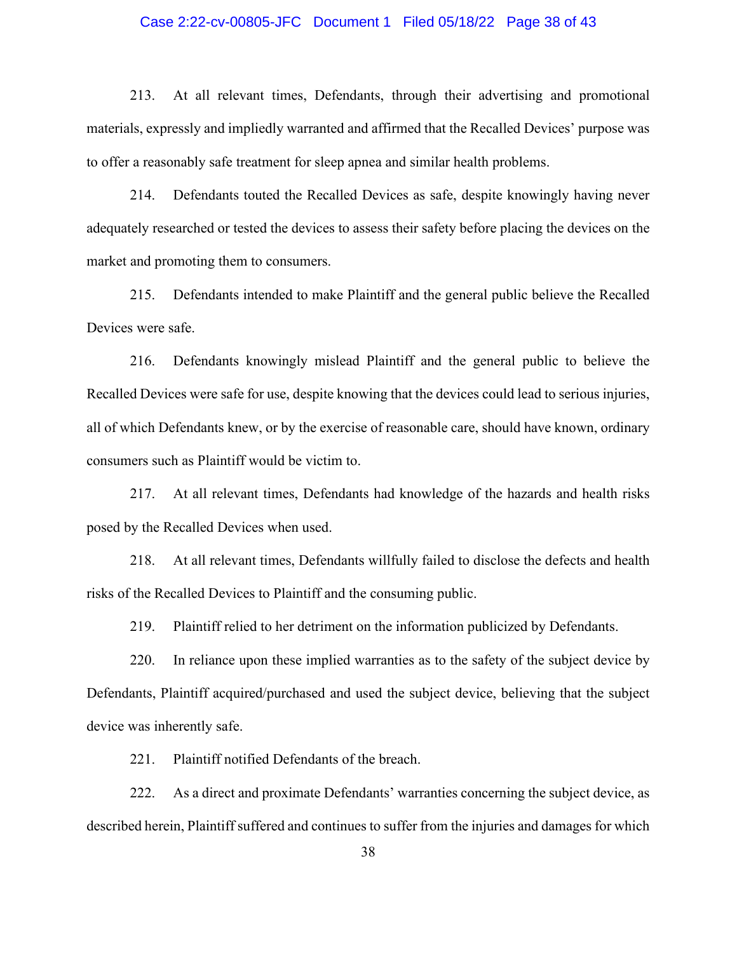#### Case 2:22-cv-00805-JFC Document 1 Filed 05/18/22 Page 38 of 43

213. At all relevant times, Defendants, through their advertising and promotional materials, expressly and impliedly warranted and affirmed that the Recalled Devices' purpose was to offer a reasonably safe treatment for sleep apnea and similar health problems.

214. Defendants touted the Recalled Devices as safe, despite knowingly having never adequately researched or tested the devices to assess their safety before placing the devices on the market and promoting them to consumers.

215. Defendants intended to make Plaintiff and the general public believe the Recalled Devices were safe.

216. Defendants knowingly mislead Plaintiff and the general public to believe the Recalled Devices were safe for use, despite knowing that the devices could lead to serious injuries, all of which Defendants knew, or by the exercise of reasonable care, should have known, ordinary consumers such as Plaintiff would be victim to.

217. At all relevant times, Defendants had knowledge of the hazards and health risks posed by the Recalled Devices when used.

218. At all relevant times, Defendants willfully failed to disclose the defects and health risks of the Recalled Devices to Plaintiff and the consuming public.

219. Plaintiff relied to her detriment on the information publicized by Defendants.

220. In reliance upon these implied warranties as to the safety of the subject device by Defendants, Plaintiff acquired/purchased and used the subject device, believing that the subject device was inherently safe.

221. Plaintiff notified Defendants of the breach.

222. As a direct and proximate Defendants' warranties concerning the subject device, as described herein, Plaintiff suffered and continues to suffer from the injuries and damages for which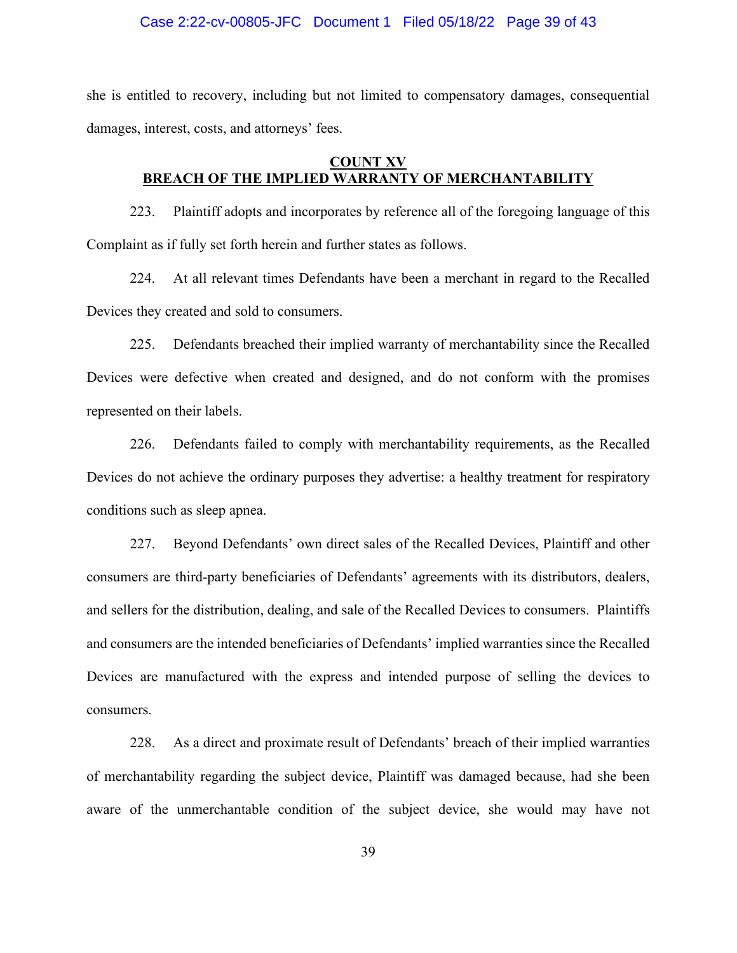#### Case 2:22-cv-00805-JFC Document 1 Filed 05/18/22 Page 39 of 43

she is entitled to recovery, including but not limited to compensatory damages, consequential damages, interest, costs, and attorneys' fees.

# **COUNT XV BREACH OF THE IMPLIED WARRANTY OF MERCHANTABILITY**

223. Plaintiff adopts and incorporates by reference all of the foregoing language of this Complaint as if fully set forth herein and further states as follows.

224. At all relevant times Defendants have been a merchant in regard to the Recalled Devices they created and sold to consumers.

225. Defendants breached their implied warranty of merchantability since the Recalled Devices were defective when created and designed, and do not conform with the promises represented on their labels.

226. Defendants failed to comply with merchantability requirements, as the Recalled Devices do not achieve the ordinary purposes they advertise: a healthy treatment for respiratory conditions such as sleep apnea.

227. Beyond Defendants' own direct sales of the Recalled Devices, Plaintiff and other consumers are third-party beneficiaries of Defendants' agreements with its distributors, dealers, and sellers for the distribution, dealing, and sale of the Recalled Devices to consumers. Plaintiffs and consumers are the intended beneficiaries of Defendants' implied warranties since the Recalled Devices are manufactured with the express and intended purpose of selling the devices to consumers.

228. As a direct and proximate result of Defendants' breach of their implied warranties of merchantability regarding the subject device, Plaintiff was damaged because, had she been aware of the unmerchantable condition of the subject device, she would may have not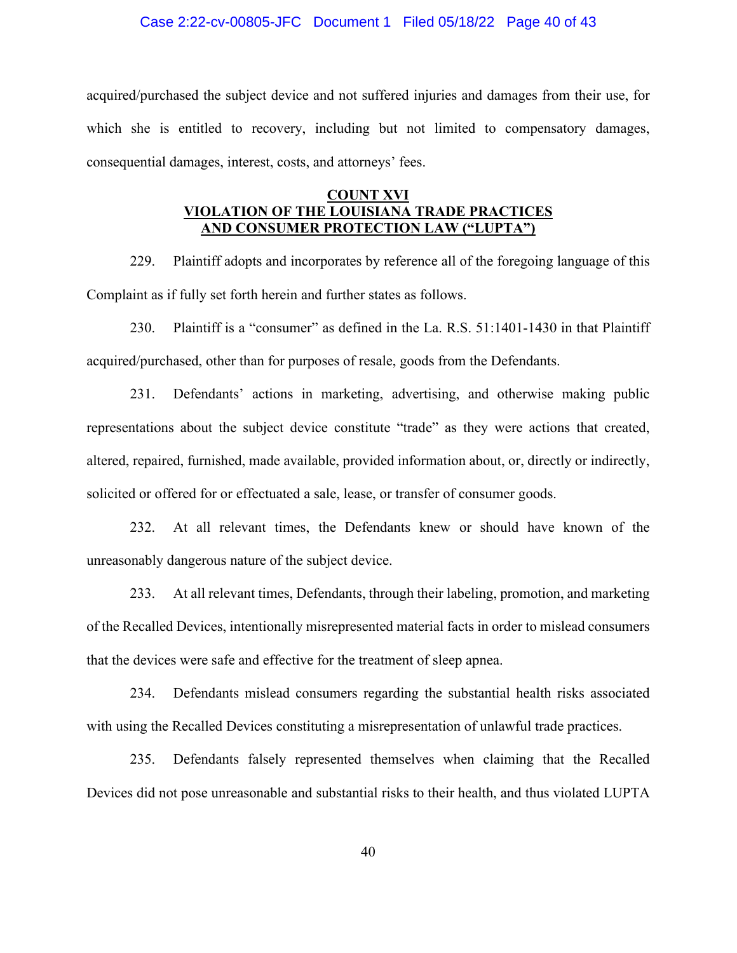#### Case 2:22-cv-00805-JFC Document 1 Filed 05/18/22 Page 40 of 43

acquired/purchased the subject device and not suffered injuries and damages from their use, for which she is entitled to recovery, including but not limited to compensatory damages, consequential damages, interest, costs, and attorneys' fees.

## **COUNT XVI VIOLATION OF THE LOUISIANA TRADE PRACTICES AND CONSUMER PROTECTION LAW ("LUPTA")**

229. Plaintiff adopts and incorporates by reference all of the foregoing language of this Complaint as if fully set forth herein and further states as follows.

230. Plaintiff is a "consumer" as defined in the La. R.S. 51:1401-1430 in that Plaintiff acquired/purchased, other than for purposes of resale, goods from the Defendants.

231. Defendants' actions in marketing, advertising, and otherwise making public representations about the subject device constitute "trade" as they were actions that created, altered, repaired, furnished, made available, provided information about, or, directly or indirectly, solicited or offered for or effectuated a sale, lease, or transfer of consumer goods.

232. At all relevant times, the Defendants knew or should have known of the unreasonably dangerous nature of the subject device.

233. At all relevant times, Defendants, through their labeling, promotion, and marketing of the Recalled Devices, intentionally misrepresented material facts in order to mislead consumers that the devices were safe and effective for the treatment of sleep apnea.

234. Defendants mislead consumers regarding the substantial health risks associated with using the Recalled Devices constituting a misrepresentation of unlawful trade practices.

235. Defendants falsely represented themselves when claiming that the Recalled Devices did not pose unreasonable and substantial risks to their health, and thus violated LUPTA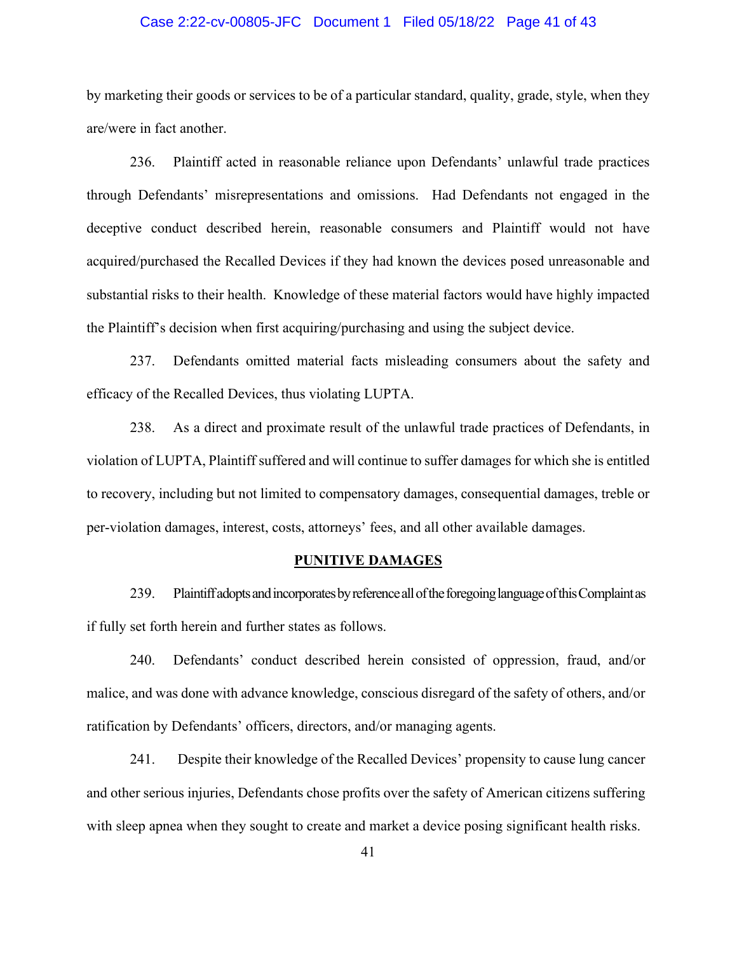## Case 2:22-cv-00805-JFC Document 1 Filed 05/18/22 Page 41 of 43

by marketing their goods or services to be of a particular standard, quality, grade, style, when they are/were in fact another.

236. Plaintiff acted in reasonable reliance upon Defendants' unlawful trade practices through Defendants' misrepresentations and omissions. Had Defendants not engaged in the deceptive conduct described herein, reasonable consumers and Plaintiff would not have acquired/purchased the Recalled Devices if they had known the devices posed unreasonable and substantial risks to their health. Knowledge of these material factors would have highly impacted the Plaintiff's decision when first acquiring/purchasing and using the subject device.

237. Defendants omitted material facts misleading consumers about the safety and efficacy of the Recalled Devices, thus violating LUPTA.

238. As a direct and proximate result of the unlawful trade practices of Defendants, in violation of LUPTA, Plaintiff suffered and will continue to suffer damages for which she is entitled to recovery, including but not limited to compensatory damages, consequential damages, treble or per-violation damages, interest, costs, attorneys' fees, and all other available damages.

#### **PUNITIVE DAMAGES**

239. Plaintiff adopts and incorporates by reference all of the foregoing language of this Complaint as if fully set forth herein and further states as follows.

240. Defendants' conduct described herein consisted of oppression, fraud, and/or malice, and was done with advance knowledge, conscious disregard of the safety of others, and/or ratification by Defendants' officers, directors, and/or managing agents.

241. Despite their knowledge of the Recalled Devices' propensity to cause lung cancer and other serious injuries, Defendants chose profits over the safety of American citizens suffering with sleep apnea when they sought to create and market a device posing significant health risks.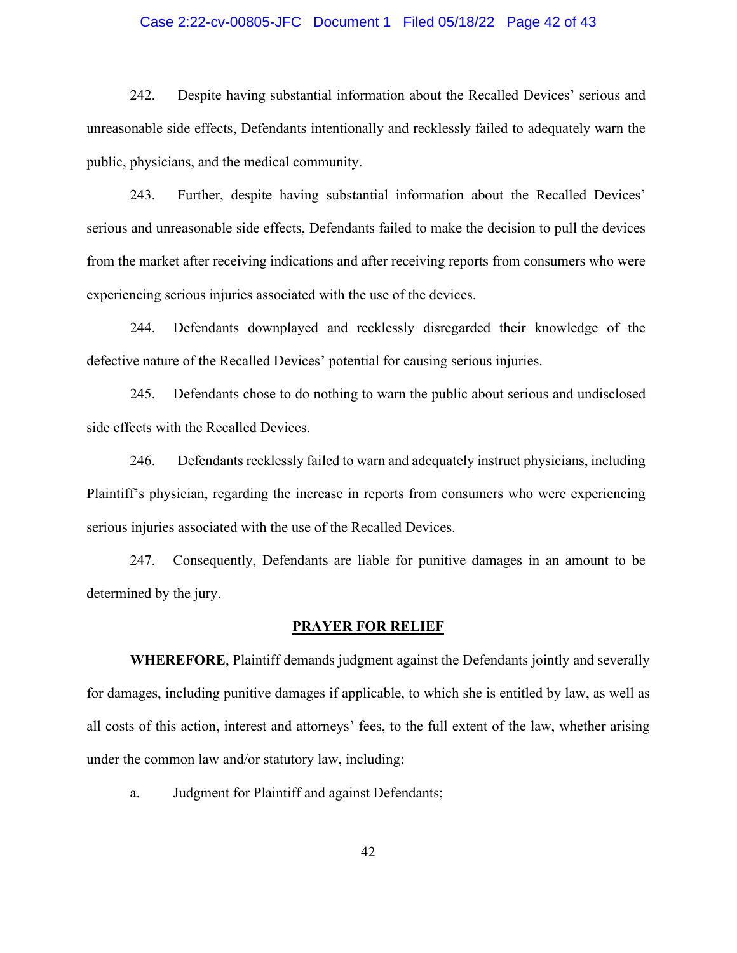## Case 2:22-cv-00805-JFC Document 1 Filed 05/18/22 Page 42 of 43

242. Despite having substantial information about the Recalled Devices' serious and unreasonable side effects, Defendants intentionally and recklessly failed to adequately warn the public, physicians, and the medical community.

243. Further, despite having substantial information about the Recalled Devices' serious and unreasonable side effects, Defendants failed to make the decision to pull the devices from the market after receiving indications and after receiving reports from consumers who were experiencing serious injuries associated with the use of the devices.

244. Defendants downplayed and recklessly disregarded their knowledge of the defective nature of the Recalled Devices' potential for causing serious injuries.

245. Defendants chose to do nothing to warn the public about serious and undisclosed side effects with the Recalled Devices.

246. Defendants recklessly failed to warn and adequately instruct physicians, including Plaintiff's physician, regarding the increase in reports from consumers who were experiencing serious injuries associated with the use of the Recalled Devices.

247. Consequently, Defendants are liable for punitive damages in an amount to be determined by the jury.

#### **PRAYER FOR RELIEF**

**WHEREFORE**, Plaintiff demands judgment against the Defendants jointly and severally for damages, including punitive damages if applicable, to which she is entitled by law, as well as all costs of this action, interest and attorneys' fees, to the full extent of the law, whether arising under the common law and/or statutory law, including:

a. Judgment for Plaintiff and against Defendants;